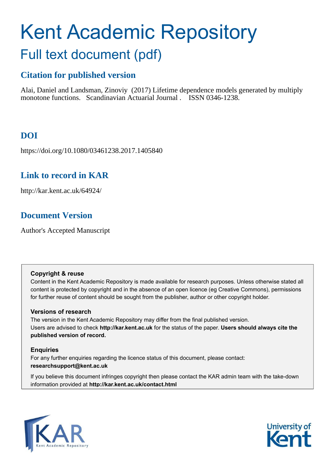# Kent Academic Repository Full text document (pdf)

# **Citation for published version**

Alai, Daniel and Landsman, Zinoviy (2017) Lifetime dependence models generated by multiply monotone functions. Scandinavian Actuarial Journal . ISSN 0346-1238.

# **DOI**

https://doi.org/10.1080/03461238.2017.1405840

# **Link to record in KAR**

http://kar.kent.ac.uk/64924/

## **Document Version**

Author's Accepted Manuscript

## **Copyright & reuse**

Content in the Kent Academic Repository is made available for research purposes. Unless otherwise stated all content is protected by copyright and in the absence of an open licence (eg Creative Commons), permissions for further reuse of content should be sought from the publisher, author or other copyright holder.

## **Versions of research**

The version in the Kent Academic Repository may differ from the final published version. Users are advised to check **http://kar.kent.ac.uk** for the status of the paper. **Users should always cite the published version of record.**

## **Enquiries**

For any further enquiries regarding the licence status of this document, please contact: **researchsupport@kent.ac.uk**

If you believe this document infringes copyright then please contact the KAR admin team with the take-down information provided at **http://kar.kent.ac.uk/contact.html**



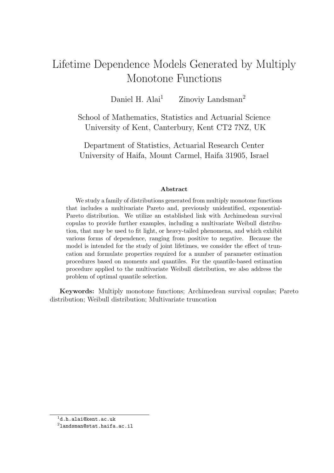# Lifetime Dependence Models Generated by Multiply Monotone Functions

Daniel H. Alai<sup>1</sup> Zinoviy Landsman<sup>2</sup>

School of Mathematics, Statistics and Actuarial Science University of Kent, Canterbury, Kent CT2 7NZ, UK

Department of Statistics, Actuarial Research Center University of Haifa, Mount Carmel, Haifa 31905, Israel

#### Abstract

We study a family of distributions generated from multiply monotone functions that includes a multivariate Pareto and, previously unidentified, exponential-Pareto distribution. We utilize an established link with Archimedean survival copulas to provide further examples, including a multivariate Weibull distribution, that may be used to fit light, or heavy-tailed phenomena, and which exhibit various forms of dependence, ranging from positive to negative. Because the model is intended for the study of joint lifetimes, we consider the effect of truncation and formulate properties required for a number of parameter estimation procedures based on moments and quantiles. For the quantile-based estimation procedure applied to the multivariate Weibull distribution, we also address the problem of optimal quantile selection.

Keywords: Multiply monotone functions; Archimedean survival copulas; Pareto distribution; Weibull distribution; Multivariate truncation

 $^1{\tt d.h.alai@kent.ac.uk}$ 

<sup>2</sup>landsman@stat.haifa.ac.il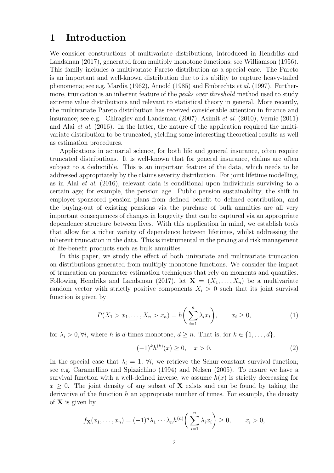## 1 Introduction

We consider constructions of multivariate distributions, introduced in Hendriks and Landsman (2017), generated from multiply monotone functions; see Williamson (1956). This family includes a multivariate Pareto distribution as a special case. The Pareto is an important and well-known distribution due to its ability to capture heavy-tailed phenomena; see e.g. Mardia (1962), Arnold (1985) and Embrechts et al. (1997). Furthermore, truncation is an inherent feature of the *peaks over threshold* method used to study extreme value distributions and relevant to statistical theory in general. More recently, the multivariate Pareto distribution has received considerable attention in finance and insurance; see e.g. Chiragiev and Landsman (2007), Asimit et al. (2010), Vernic (2011) and Alai *et al.* (2016). In the latter, the nature of the application required the multivariate distribution to be truncated, yielding some interesting theoretical results as well as estimation procedures.

Applications in actuarial science, for both life and general insurance, often require truncated distributions. It is well-known that for general insurance, claims are often subject to a deductible. This is an important feature of the data, which needs to be addressed appropriately by the claims severity distribution. For joint lifetime modelling, as in Alai et al. (2016), relevant data is conditional upon individuals surviving to a certain age; for example, the pension age. Public pension sustainability, the shift in employer-sponsored pension plans from defined benefit to defined contribution, and the buying-out of existing pensions via the purchase of bulk annuities are all very important consequences of changes in longevity that can be captured via an appropriate dependence structure between lives. With this application in mind, we establish tools that allow for a richer variety of dependence between lifetimes, whilst addressing the inherent truncation in the data. This is instrumental in the pricing and risk management of life-benefit products such as bulk annuities.

In this paper, we study the effect of both univariate and multivariate truncation on distributions generated from multiply monotone functions. We consider the impact of truncation on parameter estimation techniques that rely on moments and quantiles. Following Hendriks and Landsman (2017), let  $X = (X_1, \ldots, X_n)$  be a multivariate random vector with strictly positive components  $X_i > 0$  such that its joint survival function is given by

$$
P(X_1 > x_1, ..., X_n > x_n) = h\left(\sum_{i=1}^n \lambda_i x_i\right), \qquad x_i \ge 0,
$$
 (1)

for  $\lambda_i > 0$ ,  $\forall i$ , where h is d-times monotone,  $d \geq n$ . That is, for  $k \in \{1, ..., d\}$ ,

$$
(-1)^k h^{(k)}(x) \ge 0, \quad x > 0.
$$
 (2)

In the special case that  $\lambda_i = 1$ ,  $\forall i$ , we retrieve the Schur-constant survival function; see e.g. Caramellino and Spizzichino (1994) and Nelsen (2005). To ensure we have a survival function with a well-defined inverse, we assume  $h(x)$  is strictly decreasing for  $x \geq 0$ . The joint density of any subset of **X** exists and can be found by taking the derivative of the function  $h$  an appropriate number of times. For example, the density of  $X$  is given by

$$
f_{\mathbf{X}}(x_1,\ldots,x_n) = (-1)^n \lambda_1 \cdots \lambda_n h^{(n)} \bigg(\sum_{i=1}^n \lambda_i x_i\bigg) \ge 0, \qquad x_i > 0,
$$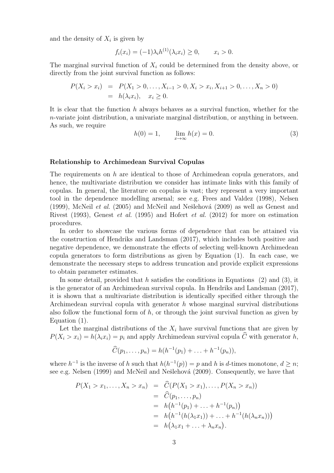and the density of  $X_i$  is given by

$$
f_i(x_i) = (-1)\lambda_i h^{(1)}(\lambda_i x_i) \ge 0, \qquad x_i > 0.
$$

The marginal survival function of  $X_i$  could be determined from the density above, or directly from the joint survival function as follows:

$$
P(X_i > x_i) = P(X_1 > 0, ..., X_{i-1} > 0, X_i > x_i, X_{i+1} > 0, ..., X_n > 0)
$$
  
=  $h(\lambda_i x_i), \quad x_i \ge 0.$ 

It is clear that the function h always behaves as a survival function, whether for the n-variate joint distribution, a univariate marginal distribution, or anything in between. As such, we require

$$
h(0) = 1, \qquad \lim_{x \to \infty} h(x) = 0.
$$
 (3)

#### Relationship to Archimedean Survival Copulas

The requirements on h are identical to those of Archimedean copula generators, and hence, the multivariate distribution we consider has intimate links with this family of copulas. In general, the literature on copulas is vast; they represent a very important tool in the dependence modelling arsenal; see e.g. Frees and Valdez (1998), Nelsen (1999), McNeil *et al.* (2005) and McNeil and Nešlehová (2009) as well as Genest and Rivest (1993), Genest et al. (1995) and Hofert et al. (2012) for more on estimation procedures.

In order to showcase the various forms of dependence that can be attained via the construction of Hendriks and Landsman (2017), which includes both positive and negative dependence, we demonstrate the effects of selecting well-known Archimedean copula generators to form distributions as given by Equation (1). In each case, we demonstrate the necessary steps to address truncation and provide explicit expressions to obtain parameter estimates.

In some detail, provided that h satisfies the conditions in Equations  $(2)$  and  $(3)$ , it is the generator of an Archimedean survival copula. In Hendriks and Landsman (2017), it is shown that a multivariate distribution is identically specified either through the Archimedean survival copula with generator  $h$  whose marginal survival distributions also follow the functional form of  $h$ , or through the joint survival function as given by Equation (1).

Let the marginal distributions of the  $X_i$  have survival functions that are given by  $P(X_i > x_i) = h(\lambda_i x_i) = p_i$  and apply Archimedean survival copula  $\hat{C}$  with generator h,

$$
\widehat{C}(p_1,\ldots,p_n)=h(h^{-1}(p_1)+\ldots+h^{-1}(p_n)),
$$

where  $h^{-1}$  is the inverse of h such that  $h(h^{-1}(p)) = p$  and h is d-times monotone,  $d \ge n$ ; see e.g. Nelsen (1999) and McNeil and Nešlehová (2009). Consequently, we have that

$$
P(X_1 > x_1, ..., X_n > x_n) = C(P(X_1 > x_1), ..., P(X_n > x_n))
$$
  
=  $\hat{C}(p_1, ..., p_n)$   
=  $h(h^{-1}(p_1) + ... + h^{-1}(p_n))$   
=  $h(h^{-1}(h(\lambda_1 x_1)) + ... + h^{-1}(h(\lambda_n x_n)))$   
=  $h(\lambda_1 x_1 + ... + \lambda_n x_n).$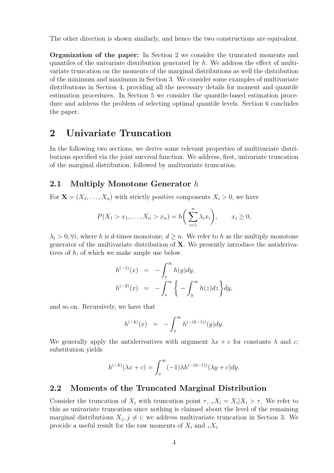The other direction is shown similarly, and hence the two constructions are equivalent.

Organization of the paper: In Section 2 we consider the truncated moments and quantiles of the univariate distribution generated by h. We address the effect of multivariate truncation on the moments of the marginal distributions as well the distribution of the minimum and maximum in Section 3. We consider some examples of multivariate distributions in Section 4, providing all the necessary details for moment and quantile estimation procedures. In Section 5 we consider the quantile-based estimation procedure and address the problem of selecting optimal quantile levels. Section 6 concludes the paper.

## 2 Univariate Truncation

In the following two sections, we derive some relevant properties of multivariate distributions specified via the joint survival function. We address, first, univariate truncation of the marginal distribution, followed by multivariate truncation.

## 2.1 Multiply Monotone Generator h

For  $\mathbf{X} = (X_1, \ldots, X_n)$  with strictly positive components  $X_i > 0$ , we have

$$
P(X_1 > x_1, \dots, X_n > x_n) = h\left(\sum_{i=1}^n \lambda_i x_i\right), \qquad x_i \ge 0,
$$

 $\lambda_i > 0$ ,  $\forall i$ , where h is d-times monotone,  $d \geq n$ . We refer to h as the multiply monotone generator of the multivariate distribution of  $X$ . We presently introduce the antiderivatives of h, of which we make ample use below.

$$
h^{(-1)}(x) = -\int_x^{\infty} h(y)dy,
$$
  

$$
h^{(-2)}(x) = -\int_x^{\infty} \left\{-\int_y^{\infty} h(z)dz\right\} dy,
$$

and so on. Recursively, we have that

$$
h^{(-k)}(x) = -\int_x^{\infty} h^{(-(k-1))}(y) dy.
$$

We generally apply the antiderivatives with argument  $\lambda x + c$  for constants  $\lambda$  and c; substitution yields

$$
h^{(-k)}(\lambda x + c) = \int_x^{\infty} (-1)\lambda h^{(-(k-1))}(\lambda y + c) dy.
$$

## 2.2 Moments of the Truncated Marginal Distribution

Consider the truncation of  $X_i$  with truncation point  $\tau$ ,  $\tau X_i = X_i | X_i > \tau$ . We refer to this as univariate truncation since nothing is claimed about the level of the remaining marginal distributions  $X_j, j \neq i$ ; we address multivariate truncation in Section 3. We provide a useful result for the raw moments of  $X_i$  and  ${}_T X_i$ .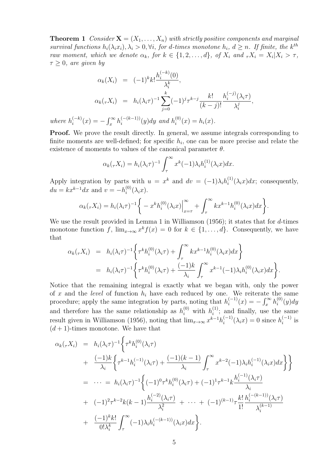**Theorem 1** Consider  $X = (X_1, \ldots, X_n)$  with strictly positive components and marginal survival functions  $h_i(\lambda_i x_i), \lambda_i > 0, \forall i$ , for d-times monotone  $h_i, d \geq n$ . If finite, the k<sup>th</sup> raw moment, which we denote  $\alpha_k$ , for  $k \in \{1, 2, ..., d\}$ , of  $X_i$  and  ${}_{\tau}X_i = X_i | X_i > \tau$ ,  $\tau \geq 0$ , are given by

$$
\alpha_k(X_i) = (-1)^k k! \frac{h_i^{(-k)}(0)}{\lambda_i^k},
$$
  
\n
$$
\alpha_k(\tau X_i) = h_i(\lambda_i \tau)^{-1} \sum_{j=0}^k (-1)^j \tau^{k-j} \frac{k!}{(k-j)!} \frac{h_i^{(-j)}(\lambda_i \tau)}{\lambda_i^j},
$$
  
\n
$$
\zeta_i^{(-k)}(x) = -\int_x^\infty h_i^{(-(k-1))}(y) dy \text{ and } h_i^{(0)}(x) = h_i(x).
$$

**Proof.** We prove the result directly. In general, we assume integrals corresponding to finite moments are well-defined; for specific  $h_i$ , one can be more precise and relate the existence of moments to values of the canonical parameter  $\theta$ .

where  $h_i^{(-k)}$ 

$$
\alpha_k(\tau X_i) = h_i(\lambda_i \tau)^{-1} \int_{\tau}^{\infty} x^k (-1) \lambda_i h_i^{(1)}(\lambda_i x) dx.
$$

Apply integration by parts with  $u = x^k$  and  $dv = (-1)\lambda_i h_i^{(1)}$  $i^{(1)}(\lambda_i x)dx$ ; consequently,  $du = kx^{k-1}dx$  and  $v = -h_i^{(0)}$  $\binom{0}{i}(\lambda_ix).$ 

$$
\alpha_k(\tau X_i) = h_i(\lambda_i \tau)^{-1} \bigg\{ -x^k h_i^{(0)}(\lambda_i x) \Big|_{x=\tau}^{\infty} + \int_{\tau}^{\infty} k x^{k-1} h_i^{(0)}(\lambda_i x) dx \bigg\}.
$$

We use the result provided in Lemma 1 in Williamson (1956); it states that for d-times monotone function f,  $\lim_{x\to\infty} x^k f(x) = 0$  for  $k \in \{1,\ldots,d\}$ . Consequently, we have that

$$
\alpha_k(\tau X_i) = h_i(\lambda_i \tau)^{-1} \left\{ \tau^k h_i^{(0)}(\lambda_i \tau) + \int_{\tau}^{\infty} k x^{k-1} h_i^{(0)}(\lambda_i x) dx \right\} \n= h_i(\lambda_i \tau)^{-1} \left\{ \tau^k h_i^{(0)}(\lambda_i \tau) + \frac{(-1)k}{\lambda_i} \int_{\tau}^{\infty} x^{k-1} (-1) \lambda_i h_i^{(0)}(\lambda_i x) dx \right\}.
$$

Notice that the remaining integral is exactly what we began with, only the power of x and the *level* of function  $h_i$  have each reduced by one. We reiterate the same procedure; apply the same integration by parts, noting that  $h_i^{(-1)}$  $\int_{i}^{(-1)} (x) = - \int_{x}^{\infty} h_i^{(0)}$  $\binom{0}{i}(y)dy$ and therefore has the same relationship as  $h_i^{(0)}$  with  $h_i^{(1)}$  $i^{(1)}$ ; and finally, use the same result given in Williamson (1956), noting that  $\lim_{x\to\infty} x^{k-1}h_i^{(-1)}$  $i_i^{(-1)}(\lambda_i x) = 0$  since  $h_i^{(-1)}$  $\sum_{i=1}^{(n-1)}$  is  $(d+1)$ -times monotone. We have that

$$
\alpha_{k}(\tau X_{i}) = h_{i}(\lambda_{i}\tau)^{-1} \Biggl\{ \tau^{k} h_{i}^{(0)}(\lambda_{i}\tau) + \frac{(-1)k}{\lambda_{i}} \Biggl\{ \tau^{k-1} h_{i}^{(-1)}(\lambda_{i}\tau) + \frac{(-1)(k-1)}{\lambda_{i}} \int_{\tau}^{\infty} x^{k-2} (-1)\lambda_{i} h_{i}^{(-1)}(\lambda_{i}x) dx \Biggr\} \Biggr\}
$$
  
\n
$$
= \cdots = h_{i}(\lambda_{i}\tau)^{-1} \Biggl\{ (-1)^{0} \tau^{k} h_{i}^{(0)}(\lambda_{i}\tau) + (-1)^{1} \tau^{k-1} k \frac{h_{i}^{(-1)}(\lambda_{i}\tau)}{\lambda_{i}}
$$
  
\n
$$
+ (-1)^{2} \tau^{k-2} k(k-1) \frac{h_{i}^{(-2)}(\lambda_{i}\tau)}{\lambda_{i}^{2}} + \cdots + (-1)^{(k-1)} \tau \frac{k!}{1!} \frac{h_{i}^{(-k-1)}(\lambda_{i}\tau)}{\lambda_{i}^{(k-1)}}
$$
  
\n
$$
+ \frac{(-1)^{k} k!}{0! \lambda_{i}^{k}} \int_{\tau}^{\infty} (-1)\lambda_{i} h_{i}^{(-k-1)}(\lambda_{i}x) dx \Biggr\}.
$$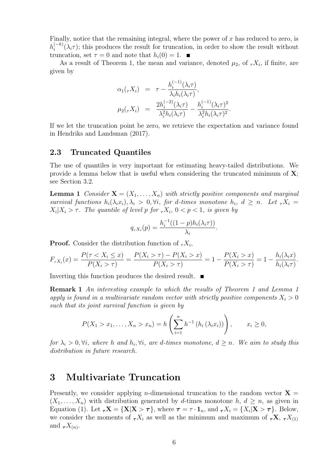Finally, notice that the remaining integral, where the power of  $x$  has reduced to zero, is  $h_i^{(-k)}$  $\binom{n-k}{i}(\lambda_i\tau)$ ; this produces the result for truncation, in order to show the result without truncation, set  $\tau = 0$  and note that  $h_i(0) = 1$ .

As a result of Theorem 1, the mean and variance, denoted  $\mu_2$ , of  ${}_7X_i$ , if finite, are given by

$$
\alpha_1(\tau X_i) = \tau - \frac{h_i^{(-1)}(\lambda_i \tau)}{\lambda_i h_i(\lambda_i \tau)},
$$
  

$$
\mu_2(\tau X_i) = \frac{2h_i^{(-2)}(\lambda_i \tau)}{\lambda_i^2 h_i(\lambda_i \tau)} - \frac{h_i^{(-1)}(\lambda_i \tau)^2}{\lambda_i^2 h_i(\lambda_i \tau)^2}.
$$

If we let the truncation point be zero, we retrieve the expectation and variance found in Hendriks and Landsman (2017).

### 2.3 Truncated Quantiles

The use of quantiles is very important for estimating heavy-tailed distributions. We provide a lemma below that is useful when considering the truncated minimum of  $X$ ; see Section 3.2.

**Lemma 1** Consider  $X = (X_1, \ldots, X_n)$  with strictly positive components and marginal survival functions  $h_i(\lambda_i x_i), \lambda_i > 0, \forall i$ , for d-times monotone  $h_i, d \geq n$ . Let  ${}_{\tau}X_i$  $X_i | X_i > \tau$ . The quantile of level p for  ${}_{\tau}X_i$ ,  $0 < p < 1$ , is given by

$$
q_{\tau X_i}(p) = \frac{h_i^{-1}((1-p)h_i(\lambda_i \tau))}{\lambda_i}.
$$

**Proof.** Consider the distribution function of  ${}_{\tau}X_i$ ,

$$
F_{\tau X_i}(x) = \frac{P(\tau < X_i \le x)}{P(X_i > \tau)} = \frac{P(X_i > \tau) - P(X_i > x)}{P(X_i > \tau)} = 1 - \frac{P(X_i > x)}{P(X_i > \tau)} = 1 - \frac{h_i(\lambda_i x)}{h_i(\lambda_i \tau)}.
$$

Inverting this function produces the desired result.

Remark 1 An interesting example to which the results of Theorem 1 and Lemma 1 apply is found in a multivariate random vector with strictly positive components  $X_i > 0$ such that its joint survival function is given by

$$
P(X_1 > x_1, ..., X_n > x_n) = h\left(\sum_{i=1}^n h^{-1}(h_i(\lambda_i x_i))\right), \qquad x_i \ge 0,
$$

for  $\lambda_i > 0$ ,  $\forall i$ , where h and  $h_i$ ,  $\forall i$ , are d-times monotone,  $d \geq n$ . We aim to study this distribution in future research.

## 3 Multivariate Truncation

Presently, we consider applying *n*-dimensional truncation to the random vector  $X =$  $(X_1, \ldots, X_n)$  with distribution generated by d-times monotone h,  $d \geq n$ , as given in Equation (1). Let  $\tau \mathbf{X} = \{\mathbf{X} | \mathbf{X} > \tau\}$ , where  $\tau = \tau \cdot \mathbf{1}_n$ , and  $\tau X_i = \{X_i | \mathbf{X} > \tau\}$ . Below, we consider the moments of  $\tau X_i$  as well as the minimum and maximum of  $\tau X$ ,  $\tau X_{(1)}$ and  $\tau X_{(n)}$ .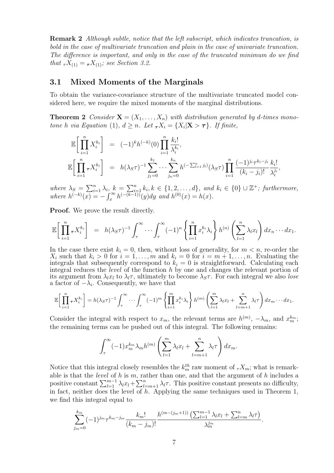Remark 2 Although subtle, notice that the left subscript, which indicates truncation, is bold in the case of multivariate truncation and plain in the case of univariate truncation. The difference is important, and only in the case of the truncated minimum do we find that  $\tau X_{(1)} = \tau X_{(1)}$ ; see Section 3.2.

## 3.1 Mixed Moments of the Marginals

To obtain the variance-covariance structure of the multivariate truncated model considered here, we require the mixed moments of the marginal distributions.

**Theorem 2** Consider  $X = (X_1, \ldots, X_n)$  with distribution generated by d-times monotone h via Equation (1),  $d \ge n$ . Let  ${}_{\tau}X_i = \{X_i | \mathbf{X} > \tau\}$ . If finite,

$$
\mathbb{E}\bigg[\prod_{i=1}^{n} X_i^{k_i}\bigg] = (-1)^k h^{(-k)}(0) \prod_{i=1}^{n} \frac{k_i!}{\lambda_i^{k_i}},
$$
  

$$
\mathbb{E}\bigg[\prod_{i=1}^{n} \tau X_i^{k_i}\bigg] = h(\lambda_S \tau)^{-1} \sum_{j_1=0}^{k_1} \cdots \sum_{j_n=0}^{k_n} h^{(-\sum_{l=1}^n j_l)}(\lambda_S \tau) \prod_{i=1}^{n} \frac{(-1)^{j_i} \tau^{k_i-j_i}}{(k_i-j_i)!} \frac{k_i!}{\lambda_i^{j_i}},
$$

where  $\lambda_S = \sum_{i=1}^n \lambda_i$ ,  $k = \sum_{i=1}^n k_i, k \in \{1, 2, \ldots, d\}$ , and  $k_i \in \{0\} \cup \mathbb{Z}^+$ ; furthermore, where  $h^{(-k)}(x) = -\int_x^{\infty} h^{(-k-1)}(y) dy$  and  $h^{(0)}(x) = h(x)$ .

**Proof.** We prove the result directly.

$$
\mathbb{E}\bigg[\prod_{i=1}^n \tau X_i^{k_i}\bigg] = h(\lambda_S \tau)^{-1} \int_\tau^\infty \cdots \int_\tau^\infty (-1)^n \left\{\prod_{i=1}^n x_i^{k_i} \lambda_i\right\} h^{(n)}\left(\sum_{l=1}^n \lambda_l x_l\right) dx_n \cdots dx_1.
$$

In the case there exist  $k_i = 0$ , then, without loss of generality, for  $m < n$ , re-order the  $X_i$  such that  $k_i > 0$  for  $i = 1, \ldots, m$  and  $k_i = 0$  for  $i = m + 1, \ldots, n$ . Evaluating the integrals that subsequently correspond to  $k_i = 0$  is straightforward. Calculating each integral reduces the *level* of the function  $h$  by one and changes the relevant portion of its argument from  $\lambda_l x_l$  to  $\lambda_l \tau$ , ultimately to become  $\lambda_s \tau$ . For each integral we also lose a factor of  $-\lambda_i$ . Consequently, we have that

$$
\mathbb{E}\bigg[\prod_{i=1}^n \tau X_i^{k_i}\bigg] = h(\lambda_S \tau)^{-1} \int_\tau^\infty \cdots \int_\tau^\infty (-1)^m \left\{\prod_{i=1}^m x_i^{k_i} \lambda_i\right\} h^{(m)}\left(\sum_{l=1}^m \lambda_l x_l + \sum_{l=m+1}^n \lambda_l \tau\right) dx_m \cdots dx_1.
$$

Consider the integral with respect to  $x_m$ , the relevant terms are  $h^{(m)}$ ,  $-\lambda_m$ , and  $x_m^{k_m}$ ; the remaining terms can be pushed out of this integral. The following remains:

$$
\int_{\tau}^{\infty} (-1) x_m^{k_m} \lambda_m h^{(m)} \left( \sum_{l=1}^m \lambda_l x_l + \sum_{l=m+1}^n \lambda_l \tau \right) dx_m.
$$

Notice that this integral closely resembles the  $k_m^{th}$  raw moment of  ${}_T X_m$ ; what is remarkable is that the *level* of h is m, rather than one, and that the argument of h includes a positive constant  $\sum_{l=1}^{m-1} \lambda_l x_l + \sum_{l=m+1}^{n} \lambda_l \tau$ . This positive constant presents no difficulty, in fact, neither does the level of  $h$ . Applying the same techniques used in Theorem 1, we find this integral equal to

$$
\sum_{j_m=0}^{k_m} (-1)^{j_m} \tau^{k_m - j_m} \frac{k_m!}{(k_m - j_m)!} \frac{h^{(m - (j_m + 1))} \left( \sum_{l=1}^{m-1} \lambda_l x_l + \sum_{l=m}^n \lambda_l \tau \right)}{\lambda_m^{j_m}}.
$$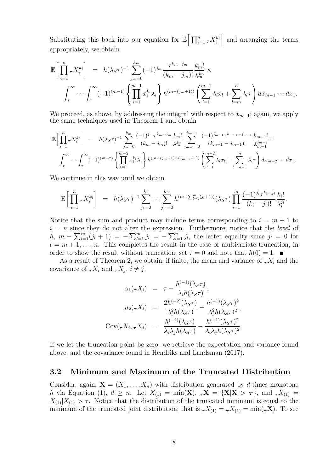Substituting this back into our equation for  $\mathbb{E} \left[ \prod_{i=1}^n \tau X_i^{k_i} \right]$ and arranging the terms appropriately, we obtain

$$
\mathbb{E}\bigg[\prod_{i=1}^{n} \tau X_i^{k_i}\bigg] = h(\lambda_S \tau)^{-1} \sum_{j_m=0}^{k_m} (-1)^{j_m} \frac{\tau^{k_m - j_m}}{(k_m - j_m)!} \frac{k_m!}{\lambda_m^{j_m}} \times \int_{\tau}^{\infty} \cdots \int_{\tau}^{\infty} (-1)^{(m-1)} \left\{ \prod_{i=1}^{m-1} x_i^{k_i} \lambda_i \right\} h^{(m-(j_m+1))} \left( \sum_{l=1}^{m-1} \lambda_l x_l + \sum_{l=m}^{n} \lambda_l \tau \right) dx_{m-1} \cdots dx_1.
$$

We proceed, as above, by addressing the integral with respect to  $x_{m-1}$ ; again, we apply the same techniques used in Theorem 1 and obtain

$$
\mathbb{E}\bigg[\prod_{i=1}^{n} \tau X_i^{k_i}\bigg] = h(\lambda_S \tau)^{-1} \sum_{j_m=0}^{k_m} \frac{(-1)^{j_m} \tau^{k_m - j_m}}{(k_m - j_m)!} \frac{k_m!}{\lambda_m^{j_m}} \sum_{j_{m-1}=0}^{k_{m-1}} \frac{(-1)^{j_{m-1}} \tau^{k_{m-1} - j_{m-1}}}{(k_{m-1} - j_{m-1})!} \frac{k_{m-1}!}{\lambda_{m-1}^{j_{m-1}}} \times \int_{\tau}^{\infty} \cdots \int_{\tau}^{\infty} (-1)^{(m-2)} \left\{ \prod_{i=1}^{m-2} x_i^{k_i} \lambda_i \right\} h^{(m-(j_m+1)-(j_{m-1}+1))} \left( \sum_{l=1}^{m-2} \lambda_l x_l + \sum_{l=m-1}^{n} \lambda_l \tau \right) dx_{m-2} \cdots dx_1.
$$

We continue in this way until we obtain

$$
\mathbb{E}\bigg[\prod_{i=1}^n \tau X_i^{k_i}\bigg] = h(\lambda_S \tau)^{-1} \sum_{j_1=0}^{k_1} \cdots \sum_{j_m=0}^{k_m} h^{(m-\sum_{l=1}^m (j_l+1))} (\lambda_S \tau) \prod_{i=1}^m \frac{(-1)^{j_i} \tau^{k_i-j_i}}{(k_i-j_i)!} \frac{k_i!}{\lambda_i^{j_i}}.
$$

Notice that the sum and product may include terms corresponding to  $i = m + 1$  to  $i = n$  since they do not alter the expression. Furthermore, notice that the *level* of h,  $m - \sum_{l=1}^{m} (j_l + 1) = -\sum_{l=1}^{m} j_l = -\sum_{l=1}^{n} j_l$ , the latter equality since  $j_l = 0$  for  $l = m + 1, \ldots, n$ . This completes the result in the case of multivariate truncation, in order to show the result without truncation, set  $\tau = 0$  and note that  $h(0) = 1$ .

As a result of Theorem 2, we obtain, if finite, the mean and variance of  $\tau X_i$  and the covariance of  ${}_{\tau}X_i$  and  ${}_{\tau}X_j$ ,  $i \neq j$ .

$$
\alpha_1(\tau X_i) = \tau - \frac{h^{(-1)}(\lambda_S \tau)}{\lambda_i h(\lambda_S \tau)},
$$

$$
\mu_2(\tau X_i) = \frac{2h^{(-2)}(\lambda_S \tau)}{\lambda_i^2 h(\lambda_S \tau)} - \frac{h^{(-1)}(\lambda_S \tau)^2}{\lambda_i^2 h(\lambda_S \tau)^2},
$$

$$
Cov(\tau X_i, \tau X_j) = \frac{h^{(-2)}(\lambda_S \tau)}{\lambda_i \lambda_j h(\lambda_S \tau)} - \frac{h^{(-1)}(\lambda_S \tau)^2}{\lambda_i \lambda_j h(\lambda_S \tau)^2}.
$$

If we let the truncation point be zero, we retrieve the expectation and variance found above, and the covariance found in Hendriks and Landsman (2017).

## 3.2 Minimum and Maximum of the Truncated Distribution

Consider, again,  $\mathbf{X} = (X_1, \ldots, X_n)$  with distribution generated by d-times monotone h via Equation (1),  $d \geq n$ . Let  $X_{(1)} = \min(\mathbf{X}), \ \tau \mathbf{X} = \{\mathbf{X} | \mathbf{X} > \tau\}$ , and  $\tau X_{(1)} =$  $X_{(1)}|X_{(1)} > \tau$ . Notice that the distribution of the truncated minimum is equal to the minimum of the truncated joint distribution; that is  ${}_{\tau}X_{(1)} = {}_{\tau}X_{(1)} = \min({}_{\tau}\mathbf{X})$ . To see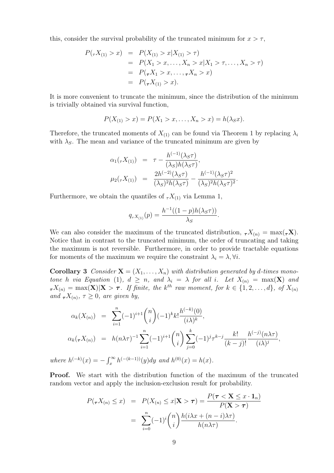this, consider the survival probability of the truncated minimum for  $x > \tau$ ,

$$
P(\tau X_{(1)} > x) = P(X_{(1)} > x | X_{(1)} > \tau)
$$
  
=  $P(X_1 > x, ..., X_n > x | X_1 > \tau, ..., X_n > \tau)$   
=  $P(\tau X_1 > x, ..., \tau X_n > x)$   
=  $P(\tau X_{(1)} > x).$ 

It is more convenient to truncate the minimum, since the distribution of the minimum is trivially obtained via survival function,

$$
P(X_{(1)} > x) = P(X_1 > x, \dots, X_n > x) = h(\lambda_S x).
$$

Therefore, the truncated moments of  $X_{(1)}$  can be found via Theorem 1 by replacing  $\lambda_i$ with  $\lambda_S$ . The mean and variance of the truncated minimum are given by

$$
\alpha_1(\tau X_{(1)}) = \tau - \frac{h^{(-1)}(\lambda_S \tau)}{(\lambda_S)h(\lambda_S \tau)}, \n\mu_2(\tau X_{(1)}) = \frac{2h^{(-2)}(\lambda_S \tau)}{(\lambda_S)^2h(\lambda_S \tau)} - \frac{h^{(-1)}(\lambda_S \tau)^2}{(\lambda_S)^2h(\lambda_S \tau)^2}.
$$

Furthermore, we obtain the quantiles of  ${}_{\tau}X_{(1)}$  via Lemma 1,

$$
q_{\tau X_{(1)}}(p) = \frac{h^{-1}((1-p)h(\lambda_S \tau))}{\lambda_S}.
$$

We can also consider the maximum of the truncated distribution,  $\tau X_{(n)} = \max(\tau X)$ . Notice that in contrast to the truncated minimum, the order of truncating and taking the maximum is not reversible. Furthermore, in order to provide tractable equations for moments of the maximum we require the constraint  $\lambda_i = \lambda, \forall i$ .

**Corollary 3** Consider  $X = (X_1, \ldots, X_n)$  with distribution generated by d-times monotone h via Equation (1),  $d \geq n$ , and  $\lambda_i = \lambda$  for all i. Let  $X_{(n)} = \max(\mathbf{X})$  and  $\tau_X(t_{n)} = \max(\mathbf{X})|\mathbf{X} > \tau$ . If finite, the k<sup>th</sup> raw moment, for  $k \in \{1, 2, ..., d\}$ , of  $X_{(n)}$ and  $\tau X_{(n)}$ ,  $\tau \geq 0$ , are given by,

$$
\alpha_k(X_{(n)}) = \sum_{i=1}^n (-1)^{i+1} \binom{n}{i} (-1)^k k! \frac{h^{(-k)}(0)}{(i\lambda)^k},
$$
  
\n
$$
\alpha_k(\tau X_{(n)}) = h(n\lambda \tau)^{-1} \sum_{i=1}^n (-1)^{i+1} \binom{n}{i} \sum_{j=0}^k (-1)^j \tau^{k-j} \frac{k!}{(k-j)!} \frac{h^{(-j)}(n\lambda \tau)}{(i\lambda)^j},
$$
  
\nwhere  $h^{(-k)}(x) = -\int_x^\infty h^{(-(k-1))}(y) dy$  and  $h^{(0)}(x) = h(x)$ .

Proof. We start with the distribution function of the maximum of the truncated random vector and apply the inclusion-exclusion result for probability.

$$
P(\tau X_{(n)} \le x) = P(X_{(n)} \le x | \mathbf{X} > \tau) = \frac{P(\tau < \mathbf{X} \le x \cdot \mathbf{1}_n)}{P(\mathbf{X} > \tau)}
$$
\n
$$
= \sum_{i=0}^n (-1)^i \binom{n}{i} \frac{h(i\lambda x + (n-i)\lambda \tau)}{h(n\lambda \tau)}.
$$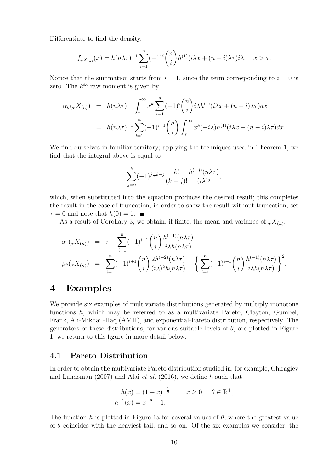Differentiate to find the density.

$$
f_{\tau X_{(n)}}(x) = h(n\lambda \tau)^{-1} \sum_{i=1}^{n} (-1)^{i} {n \choose i} h^{(1)}(i\lambda x + (n-i)\lambda \tau) i\lambda, \quad x > \tau.
$$

Notice that the summation starts from  $i = 1$ , since the term corresponding to  $i = 0$  is zero. The  $k^{th}$  raw moment is given by

$$
\alpha_k(\tau X_{(n)}) = h(n\lambda \tau)^{-1} \int_{\tau}^{\infty} x^k \sum_{i=1}^n (-1)^i \binom{n}{i} i\lambda h^{(1)}(i\lambda x + (n-i)\lambda \tau) dx
$$
  
=  $h(n\lambda \tau)^{-1} \sum_{i=1}^n (-1)^{i+1} \binom{n}{i} \int_{\tau}^{\infty} x^k (-i\lambda) h^{(1)}(i\lambda x + (n-i)\lambda \tau) dx.$ 

We find ourselves in familiar territory; applying the techniques used in Theorem 1, we find that the integral above is equal to

$$
\sum_{j=0}^{k} (-1)^{j} \tau^{k-j} \frac{k!}{(k-j)!} \frac{h^{(-j)}(n\lambda\tau)}{(i\lambda)^{j}},
$$

which, when substituted into the equation produces the desired result; this completes the result in the case of truncation, in order to show the result without truncation, set  $\tau = 0$  and note that  $h(0) = 1$ .

As a result of Corollary 3, we obtain, if finite, the mean and variance of  ${}_{\tau}X_{(n)}$ .

$$
\alpha_1(\tau X_{(n)}) = \tau - \sum_{i=1}^n (-1)^{i+1} \binom{n}{i} \frac{h^{(-1)}(n\lambda \tau)}{i\lambda h(n\lambda \tau)},
$$
  

$$
\mu_2(\tau X_{(n)}) = \sum_{i=1}^n (-1)^{i+1} \binom{n}{i} \frac{2h^{(-2)}(n\lambda \tau)}{(i\lambda)^2 h(n\lambda \tau)} - \left\{ \sum_{i=1}^n (-1)^{i+1} \binom{n}{i} \frac{h^{(-1)}(n\lambda \tau)}{i\lambda h(n\lambda \tau)} \right\}^2.
$$

## 4 Examples

We provide six examples of multivariate distributions generated by multiply monotone functions h, which may be referred to as a multivariate Pareto, Clayton, Gumbel, Frank, Ali-Mikhail-Haq (AMH), and exponential-Pareto distribution, respectively. The generators of these distributions, for various suitable levels of  $\theta$ , are plotted in Figure 1; we return to this figure in more detail below.

## 4.1 Pareto Distribution

In order to obtain the multivariate Pareto distribution studied in, for example, Chiragiev and Landsman (2007) and Alai et al. (2016), we define h such that

$$
h(x) = (1+x)^{-\frac{1}{\theta}}, \quad x \ge 0, \quad \theta \in \mathbb{R}^+,
$$
  

$$
h^{-1}(x) = x^{-\theta} - 1.
$$

The function h is plotted in Figure 1a for several values of  $\theta$ , where the greatest value of  $\theta$  coincides with the heaviest tail, and so on. Of the six examples we consider, the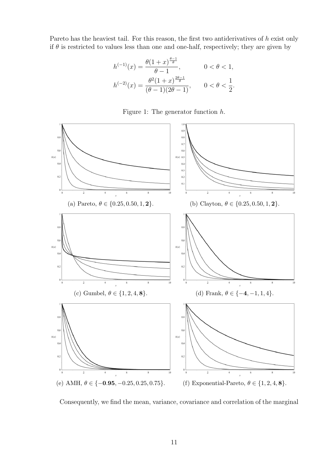Pareto has the heaviest tail. For this reason, the first two antiderivatives of h exist only if  $\theta$  is restricted to values less than one and one-half, respectively; they are given by

$$
h^{(-1)}(x) = \frac{\theta(1+x)^{\frac{\theta-1}{\theta}}}{\theta-1}, \qquad 0 < \theta < 1,
$$
  

$$
h^{(-2)}(x) = \frac{\theta^2(1+x)^{\frac{2\theta-1}{\theta}}}{(\theta-1)(2\theta-1)}, \qquad 0 < \theta < \frac{1}{2}.
$$





Consequently, we find the mean, variance, covariance and correlation of the marginal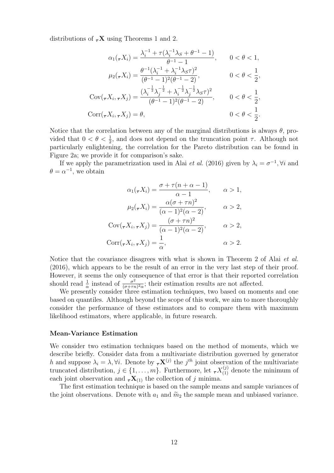distributions of  $\tau$ **X** using Theorems 1 and 2.

$$
\alpha_1(\tau X_i) = \frac{\lambda_i^{-1} + \tau(\lambda_i^{-1}\lambda_S + \theta^{-1} - 1)}{\theta^{-1} - 1}, \qquad 0 < \theta < 1,
$$
\n
$$
\mu_2(\tau X_i) = \frac{\theta^{-1}(\lambda_i^{-1} + \lambda_i^{-1}\lambda_S\tau)^2}{(\theta^{-1} - 1)^2(\theta^{-1} - 2)}, \qquad 0 < \theta < \frac{1}{2},
$$
\n
$$
\text{Cov}(\tau X_i, \tau X_j) = \frac{(\lambda_i^{-\frac{1}{2}}\lambda_j^{-\frac{1}{2}} + \lambda_i^{-\frac{1}{2}}\lambda_j^{-\frac{1}{2}}\lambda_S\tau)^2}{(\theta^{-1} - 1)^2(\theta^{-1} - 2)}, \qquad 0 < \theta < \frac{1}{2},
$$
\n
$$
\text{Corr}(\tau X_i, \tau X_j) = \theta, \qquad 0 < \theta < \frac{1}{2}.
$$

Notice that the correlation between any of the marginal distributions is always  $\theta$ , provided that  $0 < \theta < \frac{1}{2}$ , and does not depend on the truncation point  $\tau$ . Although not particularly enlightening, the correlation for the Pareto distribution can be found in Figure 2a; we provide it for comparison's sake.

If we apply the parametrization used in Alai *et al.* (2016) given by  $\lambda_i = \sigma^{-1}$ ,  $\forall i$  and  $\theta = \alpha^{-1}$ , we obtain

$$
\alpha_1(\tau X_i) = \frac{\sigma + \tau(n + \alpha - 1)}{\alpha - 1}, \qquad \alpha > 1,
$$
  

$$
\mu_2(\tau X_i) = \frac{\alpha(\sigma + \tau n)^2}{(\alpha - 1)^2(\alpha - 2)}, \qquad \alpha > 2,
$$
  

$$
Cov(\tau X_i, \tau X_j) = \frac{(\sigma + \tau n)^2}{(\alpha - 1)^2(\alpha - 2)}, \qquad \alpha > 2,
$$
  

$$
Corr(\tau X_i, \tau X_j) = \frac{1}{\alpha}, \qquad \alpha > 2.
$$

Notice that the covariance disagrees with what is shown in Theorem 2 of Alai et al. (2016), which appears to be the result of an error in the very last step of their proof. However, it seems the only consequence of that error is that their reported correlation should read  $\frac{1}{\alpha}$  instead of  $\frac{\sigma^2}{(\sigma + \tau)}$  $\frac{\sigma^2}{(\sigma + \tau n)^2 \alpha}$ ; their estimation results are not affected.

We presently consider three estimation techniques, two based on moments and one based on quantiles. Although beyond the scope of this work, we aim to more thoroughly consider the performance of these estimators and to compare them with maximum likelihood estimators, where applicable, in future research.

#### Mean-Variance Estimation

We consider two estimation techniques based on the method of moments, which we describe briefly. Consider data from a multivariate distribution governed by generator h and suppose  $\lambda_i = \lambda, \forall i$ . Denote by  $\tau \mathbf{X}^{(j)}$  the j<sup>th</sup> joint observation of the multivariate truncated distribution,  $j \in \{1, \ldots, m\}$ . Furthermore, let  ${}_{\tau}X_{(1)}^{(j)}$  denote the minimum of each joint observation and  $\tau \mathbf{X}_{(1)}$  the collection of j minima.

The first estimation technique is based on the sample means and sample variances of the joint observations. Denote with  $a_1$  and  $\widetilde{m}_2$  the sample mean and unbiased variance.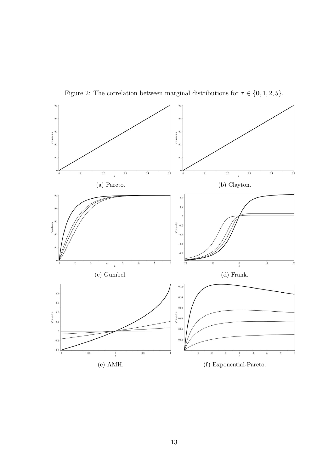

Figure 2: The correlation between marginal distributions for  $\tau \in \{0, 1, 2, 5\}$ .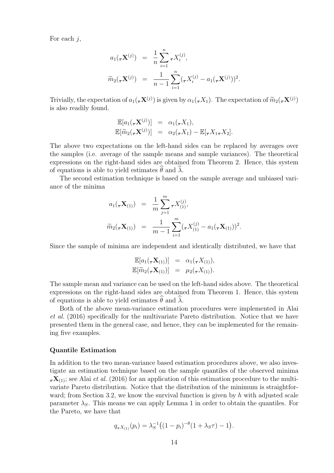For each  $i$ ,

$$
a_1(\tau \mathbf{X}^{(j)}) = \frac{1}{n} \sum_{i=1}^n \tau X_i^{(j)},
$$
  

$$
\widetilde{m}_2(\tau \mathbf{X}^{(j)}) = \frac{1}{n-1} \sum_{i=1}^n (\tau X_i^{(j)} - a_1(\tau \mathbf{X}^{(j)}))^2.
$$

Trivially, the expectation of  $a_1(\tau \mathbf{X}^{(j)})$  is given by  $\alpha_1(\tau X_1)$ . The expectation of  $\widetilde{m}_2(\tau \mathbf{X}^{(j)})$ is also readily found.

$$
\mathbb{E}[a_1(\tau \mathbf{X}^{(j)})] = \alpha_1(\tau X_1), \n\mathbb{E}[\widetilde{m}_2(\tau \mathbf{X}^{(j)})] = \alpha_2(\tau X_1) - \mathbb{E}[\tau X_1 \tau X_2].
$$

The above two expectations on the left-hand sides can be replaced by averages over the samples (i.e. average of the sample means and sample variances). The theoretical expressions on the right-hand sides are obtained from Theorem 2. Hence, this system of equations is able to yield estimates  $\hat{\theta}$  and  $\hat{\lambda}$ .

The second estimation technique is based on the sample average and unbiased variance of the minima

$$
a_1(\tau \mathbf{X}_{(1)}) = \frac{1}{m} \sum_{j=1}^m \tau X_{(1)}^{(j)},
$$
  

$$
\widetilde{m}_2(\tau \mathbf{X}_{(1)}) = \frac{1}{m-1} \sum_{i=1}^m (\tau X_{(1)}^{(j)} - a_1(\tau \mathbf{X}_{(1)}))^2.
$$

Since the sample of minima are independent and identically distributed, we have that

$$
\mathbb{E}[a_1(\tau \mathbf{X}_{(1)})] = \alpha_1(\tau X_{(1)}), \n\mathbb{E}[\widetilde{m}_2(\tau \mathbf{X}_{(1)})] = \mu_2(\tau X_{(1)}).
$$

The sample mean and variance can be used on the left-hand sides above. The theoretical expressions on the right-hand sides are obtained from Theorem 1. Hence, this system of equations is able to yield estimates  $\theta$  and  $\lambda$ .

Both of the above mean-variance estimation procedures were implemented in Alai et al. (2016) specifically for the multivariate Pareto distribution. Notice that we have presented them in the general case, and hence, they can be implemented for the remaining five examples.

#### Quantile Estimation

In addition to the two mean-variance based estimation procedures above, we also investigate an estimation technique based on the sample quantiles of the observed minima  $\tau$ **X**<sub>(1)</sub>; see Alai *et al.* (2016) for an application of this estimation procedure to the multivariate Pareto distribution. Notice that the distribution of the minimum is straightforward; from Section 3.2, we know the survival function is given by  $h$  with adjusted scale parameter  $\lambda_S$ . This means we can apply Lemma 1 in order to obtain the quantiles. For the Pareto, we have that

$$
q_{\tau X_{(1)}}(p_i) = \lambda_S^{-1} \big( (1 - p_i)^{-\theta} (1 + \lambda_S \tau) - 1 \big).
$$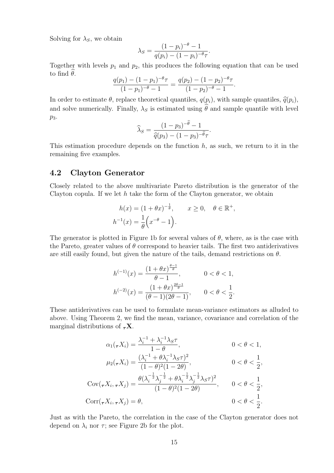Solving for  $\lambda_S$ , we obtain

$$
\lambda_S = \frac{(1 - p_i)^{-\theta} - 1}{q(p_i) - (1 - p_i)^{-\theta}\tau}.
$$

Together with levels  $p_1$  and  $p_2$ , this produces the following equation that can be used to find  $\theta$ .

$$
\frac{q(p_1) - (1 - p_1)^{-\theta} \tau}{(1 - p_1)^{-\theta} - 1} = \frac{q(p_2) - (1 - p_2)^{-\theta} \tau}{(1 - p_2)^{-\theta} - 1}.
$$

In order to estimate  $\theta$ , replace theoretical quantiles,  $q(p_i)$ , with sample quantiles,  $\hat{q}(p_i)$ , and solve numerically. Finally,  $\lambda_S$  is estimated using  $\hat{\theta}$  and sample quantile with level  $p_3$ .

$$
\widehat{\lambda}_S = \frac{(1-p_3)^{-\widehat{\theta}}-1}{\widehat{q}(p_3)-(1-p_3)^{-\widehat{\theta}}\tau}.
$$

This estimation procedure depends on the function  $h$ , as such, we return to it in the remaining five examples.

## 4.2 Clayton Generator

Closely related to the above multivariate Pareto distribution is the generator of the Clayton copula. If we let  $h$  take the form of the Clayton generator, we obtain

$$
h(x) = (1 + \theta x)^{-\frac{1}{\theta}}, \qquad x \ge 0, \quad \theta \in \mathbb{R}^+,
$$
  

$$
h^{-1}(x) = \frac{1}{\theta} \left( x^{-\theta} - 1 \right).
$$

The generator is plotted in Figure 1b for several values of  $\theta$ , where, as is the case with the Pareto, greater values of  $\theta$  correspond to heavier tails. The first two antiderivatives are still easily found, but given the nature of the tails, demand restrictions on  $\theta$ .

$$
h^{(-1)}(x) = \frac{(1 + \theta x)^{\frac{\theta - 1}{\theta}}}{\theta - 1}, \qquad 0 < \theta < 1,
$$
\n
$$
h^{(-2)}(x) = \frac{(1 + \theta x)^{\frac{2\theta - 1}{\theta}}}{(\theta - 1)(2\theta - 1)}, \qquad 0 < \theta < \frac{1}{2}.
$$

These antiderivatives can be used to formulate mean-variance estimators as alluded to above. Using Theorem 2, we find the mean, variance, covariance and correlation of the marginal distributions of  $\tau$ **X**.

$$
\alpha_1(\tau X_i) = \frac{\lambda_i^{-1} + \lambda_i^{-1} \lambda_S \tau}{1 - \theta}, \qquad 0 < \theta < 1,
$$
  
\n
$$
\mu_2(\tau X_i) = \frac{(\lambda_i^{-1} + \theta \lambda_i^{-1} \lambda_S \tau)^2}{(1 - \theta)^2 (1 - 2\theta)}, \qquad 0 < \theta < \frac{1}{2},
$$
  
\n
$$
Cov(\tau X_i, \tau X_j) = \frac{\theta(\lambda_i^{-\frac{1}{2}} \lambda_j^{-\frac{1}{2}} + \theta \lambda_i^{-\frac{1}{2}} \lambda_j^{-\frac{1}{2}} \lambda_S \tau)^2}{(1 - \theta)^2 (1 - 2\theta)}, \qquad 0 < \theta < \frac{1}{2},
$$
  
\n
$$
Corr(\tau X_i, \tau X_j) = \theta, \qquad 0 < \theta < \frac{1}{2}.
$$

Just as with the Pareto, the correlation in the case of the Clayton generator does not depend on  $\lambda_i$  nor  $\tau$ ; see Figure 2b for the plot.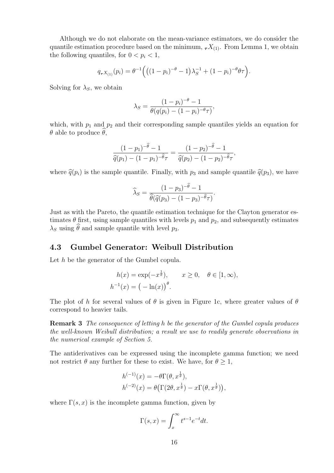Although we do not elaborate on the mean-variance estimators, we do consider the quantile estimation procedure based on the minimum,  $\tau X_{(1)}$ . From Lemma 1, we obtain the following quantiles, for  $0 < p_i < 1$ ,

$$
q_{\tau X_{(1)}}(p_i) = \theta^{-1} \Big( \big( (1-p_i)^{-\theta} - 1 \big) \lambda_S^{-1} + (1-p_i)^{-\theta} \theta \tau \Big).
$$

Solving for  $\lambda_S$ , we obtain

$$
\lambda_S = \frac{(1 - p_i)^{-\theta} - 1}{\theta(q(p_i) - (1 - p_i)^{-\theta} \tau)},
$$

which, with  $p_1$  and  $p_2$  and their corresponding sample quantiles yields an equation for  $θ$  able to produce  $θ$ ,

$$
\frac{(1-p_1)^{-\hat{\theta}}-1}{\hat{q}(p_1)-(1-p_1)^{-\hat{\theta}}\tau}=\frac{(1-p_2)^{-\hat{\theta}}-1}{\hat{q}(p_2)-(1-p_2)^{-\hat{\theta}}\tau},
$$

where  $\hat{q}(p_i)$  is the sample quantile. Finally, with  $p_3$  and sample quantile  $\hat{q}(p_3)$ , we have

$$
\widehat{\lambda}_S = \frac{(1 - p_3)^{-\widehat{\theta}} - 1}{\widehat{\theta}(\widehat{q}(p_3) - (1 - p_3)^{-\widehat{\theta}}\tau)}
$$

.

Just as with the Pareto, the quantile estimation technique for the Clayton generator estimates  $\theta$  first, using sample quantiles with levels  $p_1$  and  $p_2$ , and subsequently estimates  $\lambda_S$  using  $\hat{\theta}$  and sample quantile with level  $p_3$ .

### 4.3 Gumbel Generator: Weibull Distribution

Let h be the generator of the Gumbel copula.

$$
h(x) = \exp(-x^{\frac{1}{\theta}}), \qquad x \ge 0, \quad \theta \in [1, \infty),
$$
  

$$
h^{-1}(x) = (-\ln(x))^{\theta}.
$$

The plot of h for several values of  $\theta$  is given in Figure 1c, where greater values of  $\theta$ correspond to heavier tails.

Remark 3 The consequence of letting h be the generator of the Gumbel copula produces the well-known Weibull distribution; a result we use to readily generate observations in the numerical example of Section 5.

The antiderivatives can be expressed using the incomplete gamma function; we need not restrict  $\theta$  any further for these to exist. We have, for  $\theta \geq 1$ ,

$$
h^{(-1)}(x) = -\theta \Gamma(\theta, x^{\frac{1}{\theta}}),
$$
  
\n
$$
h^{(-2)}(x) = \theta \left( \Gamma(2\theta, x^{\frac{1}{\theta}}) - x \Gamma(\theta, x^{\frac{1}{\theta}}) \right),
$$

where  $\Gamma(s, x)$  is the incomplete gamma function, given by

$$
\Gamma(s,x) = \int_x^{\infty} t^{s-1} e^{-t} dt.
$$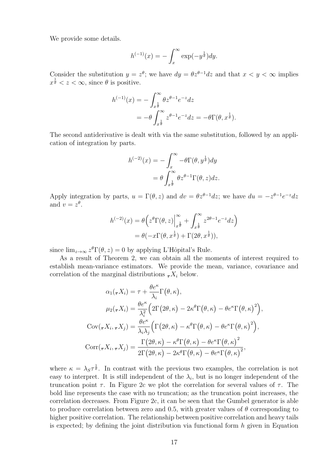We provide some details.

$$
h^{(-1)}(x) = -\int_x^{\infty} \exp(-y^{\frac{1}{\theta}}) dy.
$$

Consider the substitution  $y = z^{\theta}$ ; we have  $dy = \theta z^{\theta-1} dz$  and that  $x < y < \infty$  implies  $x^{\frac{1}{\theta}} < z < \infty$ , since  $\theta$  is positive.

$$
h^{(-1)}(x) = -\int_{x^{\frac{1}{\theta}}}^{\infty} \theta z^{\theta - 1} e^{-z} dz
$$
  
=  $-\theta \int_{x^{\frac{1}{\theta}}}^{\infty} z^{\theta - 1} e^{-z} dz = -\theta \Gamma(\theta, x^{\frac{1}{\theta}}).$ 

The second antiderivative is dealt with via the same substitution, followed by an application of integration by parts.

$$
h^{(-2)}(x) = -\int_x^{\infty} -\theta \Gamma(\theta, y^{\frac{1}{\theta}}) dy
$$
  
=  $\theta \int_{x^{\frac{1}{\theta}}}^{\infty} \theta z^{\theta-1} \Gamma(\theta, z) dz.$ 

Apply integration by parts,  $u = \Gamma(\theta, z)$  and  $dv = \theta z^{\theta-1} dz$ ; we have  $du = -z^{\theta-1}e^{-z} dz$ and  $v = z^{\theta}$ .

$$
h^{(-2)}(x) = \theta\left(z^{\theta}\Gamma(\theta, z)\Big|_{x^{\frac{1}{\theta}}}^{\infty} + \int_{x^{\frac{1}{\theta}}}^{\infty} z^{2\theta - 1} e^{-z} dz\right)
$$
  
=  $\theta(-x\Gamma(\theta, x^{\frac{1}{\theta}}) + \Gamma(2\theta, x^{\frac{1}{\theta}})),$ 

since  $\lim_{z\to\infty} z^{\theta} \Gamma(\theta, z) = 0$  by applying L'Hôpital's Rule.

As a result of Theorem 2, we can obtain all the moments of interest required to establish mean-variance estimators. We provide the mean, variance, covariance and correlation of the marginal distributions  $\tau X_i$  below.

$$
\alpha_1(\tau X_i) = \tau + \frac{\theta e^{\kappa}}{\lambda_i} \Gamma(\theta, \kappa),
$$

$$
\mu_2(\tau X_i) = \frac{\theta e^{\kappa}}{\lambda_i^2} \Big( 2\Gamma(2\theta, \kappa) - 2\kappa^{\theta} \Gamma(\theta, \kappa) - \theta e^{\kappa} \Gamma(\theta, \kappa)^2 \Big),
$$

$$
Cov(\tau X_i, \tau X_j) = \frac{\theta e^{\kappa}}{\lambda_i \lambda_j} \Big( \Gamma(2\theta, \kappa) - \kappa^{\theta} \Gamma(\theta, \kappa) - \theta e^{\kappa} \Gamma(\theta, \kappa)^2 \Big),
$$

$$
Corr(\tau X_i, \tau X_j) = \frac{\Gamma(2\theta, \kappa) - \kappa^{\theta} \Gamma(\theta, \kappa) - \theta e^{\kappa} \Gamma(\theta, \kappa)^2}{2\Gamma(2\theta, \kappa) - 2\kappa^{\theta} \Gamma(\theta, \kappa) - \theta e^{\kappa} \Gamma(\theta, \kappa)^2},
$$

where  $\kappa = \lambda_S \tau^{\frac{1}{\theta}}$ . In contrast with the previous two examples, the correlation is not easy to interpret. It is still independent of the  $\lambda_i$ , but is no longer independent of the truncation point  $\tau$ . In Figure 2c we plot the correlation for several values of  $\tau$ . The bold line represents the case with no truncation; as the truncation point increases, the correlation decreases. From Figure 2c, it can be seen that the Gumbel generator is able to produce correlation between zero and 0.5, with greater values of  $\theta$  corresponding to higher positive correlation. The relationship between positive correlation and heavy tails is expected; by defining the joint distribution via functional form  $h$  given in Equation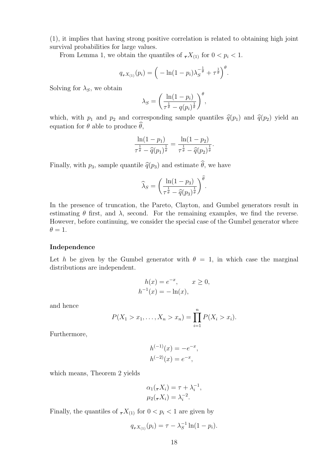(1), it implies that having strong positive correlation is related to obtaining high joint survival probabilities for large values.

From Lemma 1, we obtain the quantiles of  ${}_{\tau}X_{(1)}$  for  $0 < p_i < 1$ .

$$
q_{\tau}X_{(1)}(p_i) = \left(-\ln(1-p_i)\lambda_S^{-\frac{1}{\theta}} + \tau^{\frac{1}{\theta}}\right)^{\theta}.
$$

Solving for  $\lambda_S$ , we obtain

$$
\lambda_S = \left(\frac{\ln(1-p_i)}{\tau^{\frac{1}{\theta}}-q(p_i)^{\frac{1}{\theta}}}\right)^{\theta},
$$

which, with  $p_1$  and  $p_2$  and corresponding sample quantiles  $\hat{q}(p_1)$  and  $\hat{q}(p_2)$  yield an equation for  $\theta$  able to produce  $\widehat{\theta}$ ,

$$
\frac{\ln(1-p_1)}{\tau^{\frac{1}{\hat{\theta}}} - \widehat{q}(p_1)^{\frac{1}{\hat{\theta}}}} = \frac{\ln(1-p_2)}{\tau^{\frac{1}{\hat{\theta}}} - \widehat{q}(p_2)^{\frac{1}{\hat{\theta}}} }.
$$

Finally, with  $p_3$ , sample quantile  $\hat{q}(p_3)$  and estimate  $\hat{\theta}$ , we have

$$
\widehat{\lambda}_S = \left(\frac{\ln(1-p_3)}{\tau^{\frac{1}{\widehat{\theta}}}-\widehat{q}(p_3)^{\frac{1}{\widehat{\theta}}}}\right)^{\widehat{\theta}}.
$$

In the presence of truncation, the Pareto, Clayton, and Gumbel generators result in estimating  $\theta$  first, and  $\lambda$ , second. For the remaining examples, we find the reverse. However, before continuing, we consider the special case of the Gumbel generator where  $\theta = 1.$ 

#### Independence

Let h be given by the Gumbel generator with  $\theta = 1$ , in which case the marginal distributions are independent.

$$
h(x) = e^{-x}, \quad x \ge 0,
$$
  

$$
h^{-1}(x) = -\ln(x),
$$

and hence

$$
P(X_1 > x_1, ..., X_n > x_n) = \prod_{i=1}^n P(X_i > x_i).
$$

Furthermore,

$$
h^{(-1)}(x) = -e^{-x},
$$
  

$$
h^{(-2)}(x) = e^{-x},
$$

which means, Theorem 2 yields

$$
\alpha_1(\tau X_i) = \tau + \lambda_i^{-1},
$$
  

$$
\mu_2(\tau X_i) = \lambda_i^{-2}.
$$

Finally, the quantiles of  $\tau X_{(1)}$  for  $0 < p_i < 1$  are given by

$$
q_{\tau}X_{(1)}(p_i) = \tau - \lambda_S^{-1} \ln(1 - p_i).
$$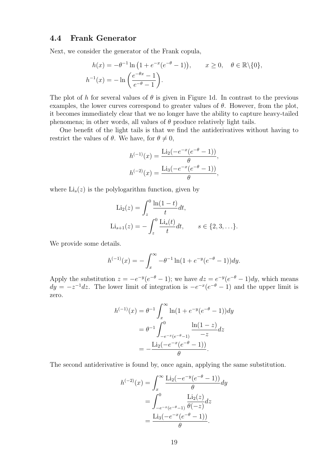### 4.4 Frank Generator

Next, we consider the generator of the Frank copula,

$$
h(x) = -\theta^{-1} \ln \left( 1 + e^{-x} (e^{-\theta} - 1) \right), \qquad x \ge 0, \quad \theta \in \mathbb{R} \setminus \{0\},
$$

$$
h^{-1}(x) = -\ln \left( \frac{e^{-\theta x} - 1}{e^{-\theta} - 1} \right).
$$

The plot of h for several values of  $\theta$  is given in Figure 1d. In contrast to the previous examples, the lower curves correspond to greater values of  $\theta$ . However, from the plot, it becomes immediately clear that we no longer have the ability to capture heavy-tailed phenomena; in other words, all values of  $\theta$  produce relatively light tails.

One benefit of the light tails is that we find the antiderivatives without having to restrict the values of  $\theta$ . We have, for  $\theta \neq 0$ ,

$$
h^{(-1)}(x) = \frac{\text{Li}_2(-e^{-x}(e^{-\theta} - 1))}{\theta},
$$

$$
h^{(-2)}(x) = \frac{\text{Li}_3(-e^{-x}(e^{-\theta} - 1))}{\theta},
$$

where  $Li_s(z)$  is the polylogarithm function, given by

$$
\text{Li}_2(z) = \int_z^0 \frac{\ln(1-t)}{t} dt,
$$
  
\n
$$
\text{Li}_{s+1}(z) = -\int_z^0 \frac{\text{Li}_s(t)}{t} dt, \qquad s \in \{2, 3, \ldots\}.
$$

We provide some details.

$$
h^{(-1)}(x) = -\int_x^{\infty} -\theta^{-1} \ln(1 + e^{-y}(e^{-\theta} - 1)) dy.
$$

Apply the substitution  $z = -e^{-y}(e^{-\theta} - 1)$ ; we have  $dz = e^{-y}(e^{-\theta} - 1)dy$ , which means  $dy = -z^{-1}dz$ . The lower limit of integration is  $-e^{-x}(e^{-\theta}-1)$  and the upper limit is zero.

$$
h^{(-1)}(x) = \theta^{-1} \int_x^{\infty} \ln(1 + e^{-y}(e^{-\theta} - 1)) dy
$$
  
=  $\theta^{-1} \int_{-e^{-x}(e^{-\theta} - 1)}^{0} \frac{\ln(1 - z)}{-z} dz$   
=  $-\frac{\text{Li}_2(-e^{-x}(e^{-\theta} - 1))}{\theta}.$ 

The second antiderivative is found by, once again, applying the same substitution.

$$
h^{(-2)}(x) = \int_x^{\infty} \frac{\text{Li}_2(-e^{-y}(e^{-\theta} - 1))}{\theta} dy
$$
  
= 
$$
\int_{-e^{-x}(e^{-\theta} - 1)}^{0} \frac{\text{Li}_2(z)}{\theta} dz
$$
  
= 
$$
\frac{\text{Li}_3(-e^{-x}(e^{-\theta} - 1))}{\theta}.
$$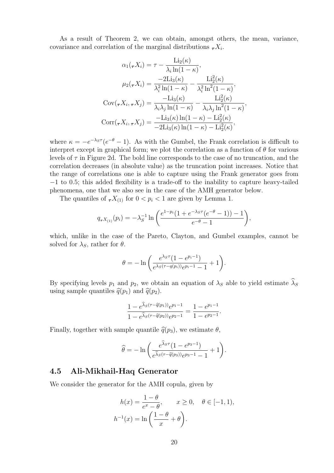As a result of Theorem 2, we can obtain, amongst others, the mean, variance, covariance and correlation of the marginal distributions  ${}_{\tau}X_i$ .

$$
\alpha_1(\tau X_i) = \tau - \frac{\text{Li}_2(\kappa)}{\lambda_i \ln(1 - \kappa)},
$$

$$
\mu_2(\tau X_i) = \frac{-2\text{Li}_3(\kappa)}{\lambda_i^2 \ln(1 - \kappa)} - \frac{\text{Li}_2^2(\kappa)}{\lambda_i^2 \ln^2(1 - \kappa)},
$$

$$
\text{Cov}(\tau X_i, \tau X_j) = \frac{-\text{Li}_3(\kappa)}{\lambda_i \lambda_j \ln(1 - \kappa)} - \frac{\text{Li}_2^2(\kappa)}{\lambda_i \lambda_j \ln^2(1 - \kappa)},
$$

$$
\text{Corr}(\tau X_i, \tau X_j) = \frac{-\text{Li}_3(\kappa) \ln(1 - \kappa) - \text{Li}_2^2(\kappa)}{-2\text{Li}_3(\kappa) \ln(1 - \kappa) - \text{Li}_2^2(\kappa)},
$$

where  $\kappa = -e^{-\lambda_S \tau} (e^{-\theta} - 1)$ . As with the Gumbel, the Frank correlation is difficult to interpret except in graphical form; we plot the correlation as a function of  $\theta$  for various levels of  $\tau$  in Figure 2d. The bold line corresponds to the case of no truncation, and the correlation decreases (in absolute value) as the truncation point increases. Notice that the range of correlations one is able to capture using the Frank generator goes from −1 to 0.5; this added flexibility is a trade-off to the inability to capture heavy-tailed phenomena, one that we also see in the case of the AMH generator below.

The quantiles of  $\tau X_{(1)}$  for  $0 < p_i < 1$  are given by Lemma 1.

$$
q_{\tau X_{(1)}}(p_i) = -\lambda_S^{-1} \ln \left( \frac{e^{1-p_i} (1 + e^{-\lambda_S \tau} (e^{-\theta} - 1)) - 1}{e^{-\theta} - 1} \right),
$$

which, unlike in the case of the Pareto, Clayton, and Gumbel examples, cannot be solved for  $\lambda_S$ , rather for  $\theta$ .

$$
\theta = -\ln\bigg(\frac{e^{\lambda_S \tau}(1 - e^{p_i - 1})}{e^{\lambda_S(\tau - q(p_i))}e^{p_i - 1} - 1} + 1\bigg).
$$

By specifying levels  $p_1$  and  $p_2$ , we obtain an equation of  $\lambda_S$  able to yield estimate  $\widehat{\lambda}_S$ using sample quantiles  $\hat{q}(p_1)$  and  $\hat{q}(p_2)$ .

$$
\frac{1 - e^{\widehat{\lambda}_S(\tau - \widehat{q}(p_1))} e^{p_1 - 1}}{1 - e^{\widehat{\lambda}_S(\tau - \widehat{q}(p_2))} e^{p_2 - 1}} = \frac{1 - e^{p_1 - 1}}{1 - e^{p_2 - 1}}.
$$

Finally, together with sample quantile  $\hat{q}(p_3)$ , we estimate  $\theta$ ,

$$
\widehat{\theta} = -\ln\bigg(\frac{e^{\widehat{\lambda}_S \tau} (1 - e^{p_3 - 1})}{e^{\widehat{\lambda}_S (\tau - \widehat{q}(p_3))} e^{p_3 - 1} - 1} + 1\bigg).
$$

### 4.5 Ali-Mikhail-Haq Generator

We consider the generator for the AMH copula, given by

$$
h(x) = \frac{1 - \theta}{e^x - \theta}, \qquad x \ge 0, \quad \theta \in [-1, 1),
$$

$$
h^{-1}(x) = \ln\left(\frac{1 - \theta}{x} + \theta\right).
$$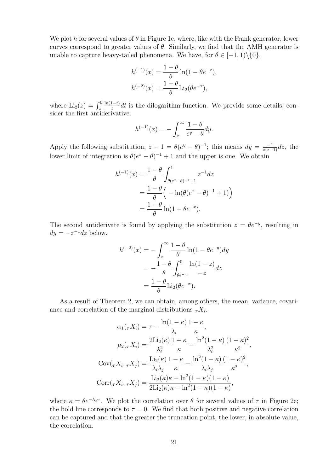We plot h for several values of  $\theta$  in Figure 1e, where, like with the Frank generator, lower curves correspond to greater values of  $\theta$ . Similarly, we find that the AMH generator is unable to capture heavy-tailed phenomena. We have, for  $\theta \in [-1,1)\setminus\{0\}$ ,

$$
h^{(-1)}(x) = \frac{1-\theta}{\theta} \ln(1 - \theta e^{-x}),
$$
  

$$
h^{(-2)}(x) = \frac{1-\theta}{\theta} \text{Li}_2(\theta e^{-x}),
$$

where  $\text{Li}_2(z) = \int_z^0$  $\ln(1-t)$  $\frac{1-t}{t}dt$  is the dilogarithm function. We provide some details; consider the first antiderivative.

$$
h^{(-1)}(x) = -\int_x^{\infty} \frac{1-\theta}{e^y - \theta} dy.
$$

Apply the following substitution,  $z - 1 = \theta(e^y - \theta)^{-1}$ ; this means  $dy = \frac{-1}{z(z-1)}dz$ , the lower limit of integration is  $\theta(e^x - \theta)^{-1} + 1$  and the upper is one. We obtain

$$
h^{(-1)}(x) = \frac{1-\theta}{\theta} \int_{\theta(e^x - \theta)^{-1} + 1}^1 z^{-1} dz
$$
  
=  $\frac{1-\theta}{\theta} \left( -\ln(\theta(e^x - \theta)^{-1} + 1) \right)$   
=  $\frac{1-\theta}{\theta} \ln(1 - \theta e^{-x}).$ 

The second antiderivate is found by applying the substitution  $z = \theta e^{-y}$ , resulting in  $dy = -z^{-1}dz$  below.

$$
h^{(-2)}(x) = -\int_x^{\infty} \frac{1-\theta}{\theta} \ln(1-\theta e^{-y}) dy
$$
  
=  $-\frac{1-\theta}{\theta} \int_{\theta e^{-x}}^0 \frac{\ln(1-z)}{-z} dz$   
=  $\frac{1-\theta}{\theta} \text{Li}_2(\theta e^{-x}).$ 

As a result of Theorem 2, we can obtain, among others, the mean, variance, covariance and correlation of the marginal distributions  ${}_{\tau}X_i$ .

$$
\alpha_1(\tau X_i) = \tau - \frac{\ln(1 - \kappa)}{\lambda_i} \frac{1 - \kappa}{\kappa},
$$

$$
\mu_2(\tau X_i) = \frac{2 \text{Li}_2(\kappa)}{\lambda_i^2} \frac{1 - \kappa}{\kappa} - \frac{\ln^2(1 - \kappa)}{\lambda_i^2} \frac{(1 - \kappa)^2}{\kappa^2}
$$

$$
\text{Cov}(\tau X_i, \tau X_j) = \frac{\text{Li}_2(\kappa)}{\lambda_i \lambda_j} \frac{1 - \kappa}{\kappa} - \frac{\ln^2(1 - \kappa)}{\lambda_i \lambda_j} \frac{(1 - \kappa)^2}{\kappa^2},
$$

$$
\text{Corr}(\tau X_i, \tau X_j) = \frac{\text{Li}_2(\kappa)\kappa - \ln^2(1 - \kappa)(1 - \kappa)}{2 \text{Li}_2(\kappa)\kappa - \ln^2(1 - \kappa)(1 - \kappa)},
$$

,

where  $\kappa = \theta e^{-\lambda_S \tau}$ . We plot the correlation over  $\theta$  for several values of  $\tau$  in Figure 2e; the bold line corresponds to  $\tau = 0$ . We find that both positive and negative correlation can be captured and that the greater the truncation point, the lower, in absolute value, the correlation.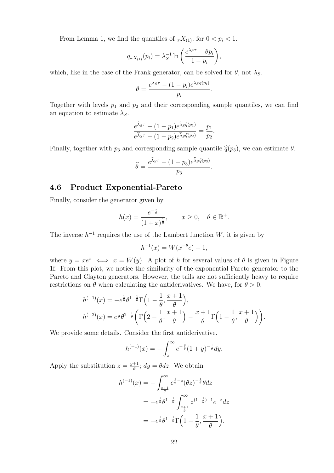From Lemma 1, we find the quantiles of  ${}_{\tau}X_{(1)}$ , for  $0 < p_i < 1$ .

$$
q_{\tau X_{(1)}}(p_i) = \lambda_S^{-1} \ln \left( \frac{e^{\lambda_S \tau} - \theta p_i}{1 - p_i} \right),
$$

which, like in the case of the Frank generator, can be solved for  $\theta$ , not  $\lambda_S$ .

$$
\theta = \frac{e^{\lambda_S \tau} - (1 - p_i)e^{\lambda_S q(p_i)}}{p_i}
$$

.

Together with levels  $p_1$  and  $p_2$  and their corresponding sample quantiles, we can find an equation to estimate  $\lambda_S$ .

$$
\frac{e^{\widehat{\lambda}_S \tau} - (1 - p_1)e^{\widehat{\lambda}_S \widehat{q}(p_1)}}{e^{\widehat{\lambda}_S \tau} - (1 - p_2)e^{\widehat{\lambda}_S \widehat{q}(p_2)}} = \frac{p_1}{p_2}.
$$

Finally, together with  $p_3$  and corresponding sample quantile  $\hat{q}(p_3)$ , we can estimate  $\theta$ .

$$
\widehat{\theta} = \frac{e^{\widehat{\lambda}_S \tau} - (1 - p_3)e^{\widehat{\lambda}_S \widehat{q}(p_3)}}{p_3}.
$$

## 4.6 Product Exponential-Pareto

Finally, consider the generator given by

$$
h(x) = \frac{e^{-\frac{x}{\theta}}}{(1+x)^{\frac{1}{\theta}}}, \qquad x \ge 0, \quad \theta \in \mathbb{R}^+.
$$

The inverse  $h^{-1}$  requires the use of the Lambert function W, it is given by

$$
h^{-1}(x) = W(x^{-\theta}e) - 1,
$$

where  $y = xe^x \iff x = W(y)$ . A plot of h for several values of  $\theta$  is given in Figure 1f. From this plot, we notice the similarity of the exponential-Pareto generator to the Pareto and Clayton generators. However, the tails are not sufficiently heavy to require restrictions on  $\theta$  when calculating the antiderivatives. We have, for  $\theta > 0$ ,

$$
h^{(-1)}(x) = -e^{\frac{1}{\theta}}\theta^{1-\frac{1}{\theta}}\Gamma\left(1-\frac{1}{\theta},\frac{x+1}{\theta}\right),
$$
  

$$
h^{(-2)}(x) = e^{\frac{1}{\theta}}\theta^{2-\frac{1}{\theta}}\left(\Gamma\left(2-\frac{1}{\theta},\frac{x+1}{\theta}\right)-\frac{x+1}{\theta}\Gamma\left(1-\frac{1}{\theta},\frac{x+1}{\theta}\right)\right).
$$

We provide some details. Consider the first antiderivative.

$$
h^{(-1)}(x) = -\int_x^{\infty} e^{-\frac{y}{\theta}} (1+y)^{-\frac{1}{\theta}} dy.
$$

Apply the substitution  $z = \frac{y+1}{\theta}$  $\frac{+1}{\theta}$ ;  $dy = \theta dz$ . We obtain

$$
h^{(-1)}(x) = -\int_{\frac{x+1}{\theta}}^{\infty} e^{\frac{1}{\theta} - z} (\theta z)^{-\frac{1}{\theta}} \theta dz
$$
  
=  $-e^{\frac{1}{\theta}} \theta^{1-\frac{1}{\theta}} \int_{\frac{x+1}{\theta}}^{\infty} z^{(1-\frac{1}{\theta})-1} e^{-z} dz$   
=  $-e^{\frac{1}{\theta}} \theta^{1-\frac{1}{\theta}} \Gamma\left(1 - \frac{1}{\theta}, \frac{x+1}{\theta}\right).$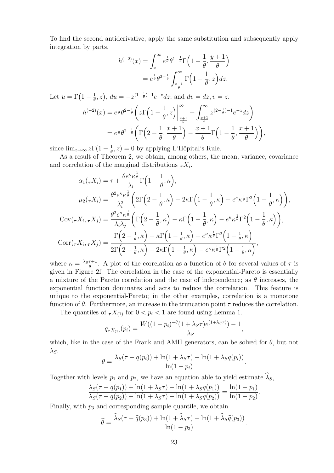To find the second antiderivative, apply the same substitution and subsequently apply integration by parts.

$$
h^{(-2)}(x) = \int_x^{\infty} e^{\frac{1}{\theta}} \theta^{1-\frac{1}{\theta}} \Gamma\left(1 - \frac{1}{\theta}, \frac{y+1}{\theta}\right)
$$
  
=  $e^{\frac{1}{\theta}} \theta^{2-\frac{1}{\theta}} \int_{\frac{x+1}{\theta}}^{\infty} \Gamma\left(1 - \frac{1}{\theta}, z\right) dz.$ 

Let  $u = \Gamma(1 - \frac{1}{\theta})$  $(\frac{1}{\theta}, z)$ ,  $du = -z^{(1-\frac{1}{\theta})-1}e^{-z}dz$ ; and  $dv = dz$ ,  $v = z$ .  $h^{(-2)}(x) = e^{\frac{1}{\theta}} \theta^{2-\frac{1}{\theta}}$  $z\Gamma(1-\alpha)$ 1 θ  $, z)$ ∞  $_{x+1}$ θ  $\int_0^\infty$  $rac{x+1}{\theta}$  $z^{(2-\frac{1}{\theta})-1}e^{-z}dz$  $= e^{\frac{1}{\theta}} \theta^{2-\frac{1}{\theta}}$  $\Gamma(2-$ 1 θ ,  $x + 1$ θ  $)$  $x + 1$ θ  $\Gamma(1 -$ 1 θ ,  $x + 1$ θ  $\bigg)$ ,

since  $\lim_{z\to\infty}z\Gamma(1-\frac{1}{\theta})$  $\frac{1}{\theta}$ , z) = 0 by applying L'Hôpital's Rule.

As a result of Theorem 2, we obtain, among others, the mean, variance, covariance and correlation of the marginal distributions  ${}_{\tau}X_i$ .

$$
\alpha_1(\tau X_i) = \tau + \frac{\theta e^{\kappa} \kappa^{\frac{1}{\theta}}}{\lambda_i} \Gamma\left(1 - \frac{1}{\theta}, \kappa\right),
$$
  
\n
$$
\mu_2(\tau X_i) = \frac{\theta^2 e^{\kappa} \kappa^{\frac{1}{\theta}}}{\lambda_i^2} \left(2\Gamma\left(2 - \frac{1}{\theta}, \kappa\right) - 2\kappa \Gamma\left(1 - \frac{1}{\theta}, \kappa\right) - e^{\kappa} \kappa^{\frac{1}{\theta}} \Gamma^2\left(1 - \frac{1}{\theta}, \kappa\right)\right),
$$
  
\n
$$
Cov(\tau X_i, \tau X_j) = \frac{\theta^2 e^{\kappa} \kappa^{\frac{1}{\theta}}}{\lambda_i \lambda_j} \left(\Gamma\left(2 - \frac{1}{\theta}, \kappa\right) - \kappa \Gamma\left(1 - \frac{1}{\theta}, \kappa\right) - e^{\kappa} \kappa^{\frac{1}{\theta}} \Gamma^2\left(1 - \frac{1}{\theta}, \kappa\right)\right),
$$
  
\n
$$
Cov(\tau X_i, \tau X_j) = \frac{\Gamma\left(2 - \frac{1}{\theta}, \kappa\right) - \kappa \Gamma\left(1 - \frac{1}{\theta}, \kappa\right) - e^{\kappa} \kappa^{\frac{1}{\theta}} \Gamma^2\left(1 - \frac{1}{\theta}, \kappa\right)}{2\Gamma\left(2 - \frac{1}{\theta}, \kappa\right) - 2\kappa \Gamma\left(1 - \frac{1}{\theta}, \kappa\right) - e^{\kappa} \kappa^{\frac{1}{\theta}} \Gamma^2\left(1 - \frac{1}{\theta}, \kappa\right)},
$$

where  $\kappa = \frac{\lambda_S \tau + 1}{\theta}$  $\frac{\tau+1}{\theta}$ . A plot of the correlation as a function of  $\theta$  for several values of  $\tau$  is given in Figure 2f. The correlation in the case of the exponential-Pareto is essentially a mixture of the Pareto correlation and the case of independence; as  $\theta$  increases, the exponential function dominates and acts to reduce the correlation. This feature is unique to the exponential-Pareto; in the other examples, correlation is a monotone function of  $\theta$ . Furthermore, an increase in the truncation point  $\tau$  reduces the correlation.

The quantiles of  $\tau X_{(1)}$  for  $0 < p_i < 1$  are found using Lemma 1.

$$
q_{\tau X_{(1)}}(p_i) = \frac{W((1-p_i)^{-\theta}(1+\lambda_S \tau)e^{(1+\lambda_S \tau)}) - 1}{\lambda_S},
$$

which, like in the case of the Frank and AMH generators, can be solved for  $\theta$ , but not  $\lambda_S$ .

$$
\theta = \frac{\lambda_S(\tau - q(p_i)) + \ln(1 + \lambda_S \tau) - \ln(1 + \lambda_S q(p_i))}{\ln(1 - p_i)}.
$$

Together with levels  $p_1$  and  $p_2$ , we have an equation able to yield estimate  $\hat{\lambda}_S$ ,

$$
\frac{\lambda_S(\tau - q(p_1)) + \ln(1 + \lambda_S \tau) - \ln(1 + \lambda_S q(p_1))}{\lambda_S(\tau - q(p_2)) + \ln(1 + \lambda_S \tau) - \ln(1 + \lambda_S q(p_2))} = \frac{\ln(1 - p_1)}{\ln(1 - p_2)}.
$$

Finally, with  $p_3$  and corresponding sample quantile, we obtain

$$
\widehat{\theta} = \frac{\widehat{\lambda}_S(\tau - \widehat{q}(p_3)) + \ln(1 + \widehat{\lambda}_S \tau) - \ln(1 + \widehat{\lambda}_S \widehat{q}(p_3))}{\ln(1 - p_3)}.
$$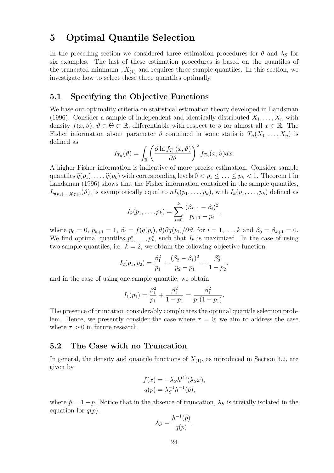## 5 Optimal Quantile Selection

In the preceding section we considered three estimation procedures for  $\theta$  and  $\lambda_{\rm S}$  for six examples. The last of these estimation procedures is based on the quantiles of the truncated minimum  $\tau X_{(1)}$  and requires three sample quantiles. In this section, we investigate how to select these three quantiles optimally.

## 5.1 Specifying the Objective Functions

We base our optimality criteria on statistical estimation theory developed in Landsman (1996). Consider a sample of independent and identically distributed  $X_1, \ldots, X_n$  with density  $f(x, \vartheta), \vartheta \in \Theta \subset \mathbb{R}$ , differentiable with respect to  $\vartheta$  for almost all  $x \in \mathbb{R}$ . The Fisher information about parameter  $\vartheta$  contained in some statistic  $T_n(X_1,\ldots,X_n)$  is defined as

$$
I_{T_n}(\vartheta) = \int_{\mathbb{R}} \left( \frac{\partial \ln f_{T_n}(x, \vartheta)}{\partial \vartheta} \right)^2 f_{T_n}(x, \vartheta) dx.
$$

A higher Fisher information is indicative of more precise estimation. Consider sample quantiles  $\hat{q}(p_1), \ldots, \hat{q}(p_k)$  with corresponding levels  $0 < p_1 \leq \ldots \leq p_k < 1$ . Theorem 1 in Landsman (1996) shows that the Fisher information contained in the sample quantiles,  $I_{\hat{q}(p_1),\dots,\hat{q}(p_k)}(\vartheta)$ , is asymptotically equal to  $nI_k(p_1,\dots,p_k)$ , with  $I_k(p_1,\dots,p_k)$  defined as

$$
I_k(p_1,\ldots,p_k)=\sum_{i=0}^k\frac{(\beta_{i+1}-\beta_i)^2}{p_{i+1}-p_i},
$$

where  $p_0 = 0$ ,  $p_{k+1} = 1$ ,  $\beta_i = f(q(p_i), \vartheta) \partial q(p_i) / \partial \vartheta$ , for  $i = 1, ..., k$  and  $\beta_0 = \beta_{k+1} = 0$ . We find optimal quantiles  $p_1^*, \ldots, p_k^*$ , such that  $I_k$  is maximized. In the case of using two sample quantiles, i.e.  $k = 2$ , we obtain the following objective function:

$$
I_2(p_1, p_2) = \frac{\beta_1^2}{p_1} + \frac{(\beta_2 - \beta_1)^2}{p_2 - p_1} + \frac{\beta_2^2}{1 - p_2},
$$

and in the case of using one sample quantile, we obtain

$$
I_1(p_1) = \frac{\beta_1^2}{p_1} + \frac{\beta_1^2}{1 - p_1} = \frac{\beta_1^2}{p_1(1 - p_1)}.
$$

The presence of truncation considerably complicates the optimal quantile selection problem. Hence, we presently consider the case where  $\tau = 0$ ; we aim to address the case where  $\tau > 0$  in future research.

## 5.2 The Case with no Truncation

In general, the density and quantile functions of  $X_{(1)}$ , as introduced in Section 3.2, are given by

$$
f(x) = -\lambda_S h^{(1)}(\lambda_S x),
$$
  
\n
$$
q(p) = \lambda_S^{-1} h^{-1}(\check{p}),
$$

where  $\tilde{p} = 1 - p$ . Notice that in the absence of truncation,  $\lambda_S$  is trivially isolated in the equation for  $q(p)$ .

$$
\lambda_S = \frac{h^{-1}(\check{p})}{q(p)}.
$$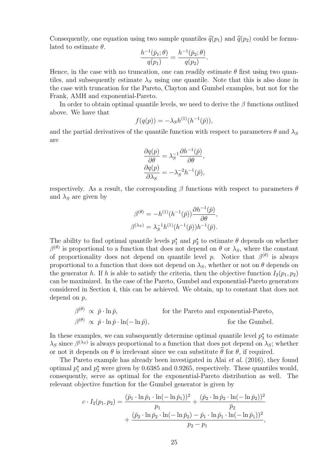Consequently, one equation using two sample quantiles  $\hat{q}(p_1)$  and  $\hat{q}(p_2)$  could be formulated to estimate  $\theta$ .

$$
\frac{h^{-1}(\check{p}_1;\theta)}{q(p_1)} = \frac{h^{-1}(\check{p}_2;\theta)}{q(p_2)}.
$$

Hence, in the case with no truncation, one can readily estimate  $\theta$  first using two quantiles, and subsequently estimate  $\lambda_S$  using one quantile. Note that this is also done in the case with truncation for the Pareto, Clayton and Gumbel examples, but not for the Frank, AMH and exponential-Pareto.

In order to obtain optimal quantile levels, we need to derive the  $\beta$  functions outlined above. We have that

$$
f(q(p)) = -\lambda_S h^{(1)}(h^{-1}(\check{p})),
$$

and the partial derivatives of the quantile function with respect to parameters  $\theta$  and  $\lambda_S$ are

$$
\begin{split} \frac{\partial q(p)}{\partial \theta} &= \lambda_S^{-1} \frac{\partial h^{-1}(\check{p})}{\partial \theta}, \\ \frac{\partial q(p)}{\partial \lambda_S} &= -\lambda_S^{-2} h^{-1}(\check{p}), \end{split}
$$

respectively. As a result, the corresponding  $\beta$  functions with respect to parameters  $\theta$ and  $\lambda_S$  are given by

$$
\beta^{(\theta)} = -h^{(1)}(h^{-1}(\check{p})) \frac{\partial h^{-1}(\check{p})}{\partial \theta},
$$
  

$$
\beta^{(\lambda_S)} = \lambda_S^{-1} h^{(1)}(h^{-1}(\check{p})) h^{-1}(\check{p}).
$$

The ability to find optimal quantile levels  $p_1^*$  and  $p_2^*$  to estimate  $\theta$  depends on whether  $\beta^{(\theta)}$  is proportional to a function that does not depend on  $\theta$  or  $\lambda_S$ , where the constant of proportionality does not depend on quantile level p. Notice that  $\beta^{(\theta)}$  is always proportional to a function that does not depend on  $\lambda_S$ , whether or not on  $\theta$  depends on the generator h. If h is able to satisfy the criteria, then the objective function  $I_2(p_1, p_2)$ can be maximized. In the case of the Pareto, Gumbel and exponential-Pareto generators considered in Section 4, this can be achieved. We obtain, up to constant that does not depend on p,

$$
\beta^{(\theta)} \propto \check{p} \cdot \ln \check{p}
$$
, for the Pareto and exponential-Pareto,  
\n $\beta^{(\theta)} \propto \check{p} \cdot \ln \check{p} \cdot \ln(-\ln \check{p})$ , for the Gumbel.

In these examples, we can subsequently determine optimal quantile level  $p_3^*$  to estimate  $\lambda_S$  since  $\beta^{(\lambda_S)}$  is always proportional to a function that does not depend on  $\lambda_S$ ; whether or not it depends on  $\theta$  is irrelevant since we can substitute  $\theta$  for  $\theta$ , if required.

The Pareto example has already been investigated in Alai et al. (2016), they found optimal  $p_1^*$  and  $p_2^*$  were given by 0.6385 and 0.9265, respectively. These quantiles would, consequently, serve as optimal for the exponential-Pareto distribution as well. The relevant objective function for the Gumbel generator is given by

$$
c \cdot I_2(p_1, p_2) = \frac{(\check{p}_1 \cdot \ln \check{p}_1 \cdot \ln(-\ln \check{p}_1))^2}{p_1} + \frac{(\check{p}_2 \cdot \ln \check{p}_2 \cdot \ln(-\ln \check{p}_2))^2}{\check{p}_2} + \frac{(\check{p}_2 \cdot \ln \check{p}_2 \cdot \ln(-\ln \check{p}_2) - \check{p}_1 \cdot \ln \check{p}_1 \cdot \ln(-\ln \check{p}_1))^2}{p_2 - p_1},
$$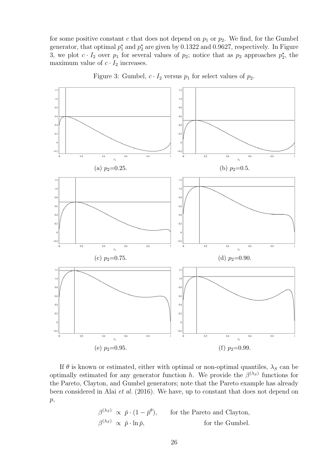for some positive constant c that does not depend on  $p_1$  or  $p_2$ . We find, for the Gumbel generator, that optimal  $p_1^*$  and  $p_2^*$  are given by 0.1322 and 0.9627, respectively. In Figure 3, we plot  $c \cdot I_2$  over  $p_1$  for several values of  $p_2$ ; notice that as  $p_2$  approaches  $p_2^*$ , the maximum value of  $c \cdot I_2$  increases.



Figure 3: Gumbel,  $c \cdot I_2$  versus  $p_1$  for select values of  $p_2$ .

If  $\theta$  is known or estimated, either with optimal or non-optimal quantiles,  $\lambda_S$  can be optimally estimated for any generator function h. We provide the  $\beta^{(\lambda_S)}$  functions for the Pareto, Clayton, and Gumbel generators; note that the Pareto example has already been considered in Alai et al. (2016). We have, up to constant that does not depend on  $p,$ 

$$
\beta^{(\lambda_S)} \propto \check{p} \cdot (1 - \check{p}^{\theta}),
$$
 for the Pareto and Clayton,  
\n $\beta^{(\lambda_S)} \propto \check{p} \cdot \ln \check{p},$  for the Gumbel.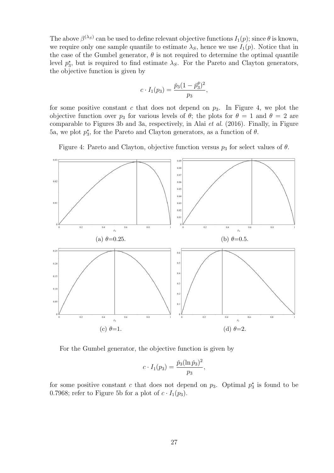The above  $\beta^{(\lambda_S)}$  can be used to define relevant objective functions  $I_1(p)$ ; since  $\theta$  is known, we require only one sample quantile to estimate  $\lambda_S$ , hence we use  $I_1(p)$ . Notice that in the case of the Gumbel generator,  $\theta$  is not required to determine the optimal quantile level  $p_3^*$ , but is required to find estimate  $\lambda_S$ . For the Pareto and Clayton generators, the objective function is given by

$$
c \cdot I_1(p_3) = \frac{\check{p}_3(1-\check{p}_3^{\theta})^2}{p_3},
$$

for some positive constant c that does not depend on  $p_3$ . In Figure 4, we plot the objective function over  $p_3$  for various levels of  $\theta$ ; the plots for  $\theta = 1$  and  $\theta = 2$  are comparable to Figures 3b and 3a, respectively, in Alai et al. (2016). Finally, in Figure 5a, we plot  $p_3^*$ , for the Pareto and Clayton generators, as a function of  $\theta$ .

Figure 4: Pareto and Clayton, objective function versus  $p_3$  for select values of  $\theta$ .



For the Gumbel generator, the objective function is given by

$$
c \cdot I_1(p_3) = \frac{\check{p}_3(\ln \check{p}_3)^2}{p_3},
$$

for some positive constant c that does not depend on  $p_3$ . Optimal  $p_3^*$  is found to be 0.7968; refer to Figure 5b for a plot of  $c \cdot I_1(p_3)$ .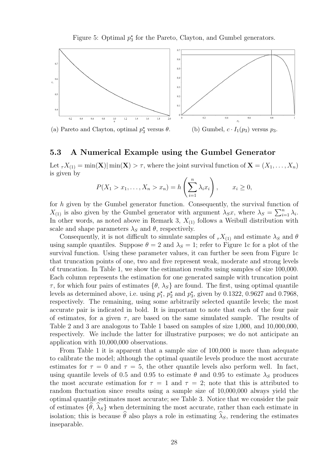Figure 5: Optimal  $p_3^*$  for the Pareto, Clayton, and Gumbel generators.



(a) Pareto and Clayton, optimal  $p_3^\star$ 

(b) Gumbel,  $c \cdot I_1(p_3)$  versus  $p_3$ .

## 5.3 A Numerical Example using the Gumbel Generator

Let  $\tau X_{(1)} = \min(\mathbf{X})|\min(\mathbf{X}) > \tau$ , where the joint survival function of  $\mathbf{X} = (X_1, \dots, X_n)$ is given by

$$
P(X_1 > x_1, \ldots, X_n > x_n) = h\left(\sum_{i=1}^n \lambda_i x_i\right), \qquad x_i \ge 0,
$$

for h given by the Gumbel generator function. Consequently, the survival function of  $X_{(1)}$  is also given by the Gumbel generator with argument  $\lambda_S x$ , where  $\lambda_S = \sum_{i=1}^n \lambda_i$ . In other words, as noted above in Remark 3,  $X_{(1)}$  follows a Weibull distribution with scale and shape parameters  $\lambda_S$  and  $\theta$ , respectively.

Consequently, it is not difficult to simulate samples of  ${}_T X_{(1)}$  and estimate  $\lambda_S$  and  $\theta$ using sample quantiles. Suppose  $\theta = 2$  and  $\lambda_s = 1$ ; refer to Figure 1c for a plot of the survival function. Using these parameter values, it can further be seen from Figure 1c that truncation points of one, two and five represent weak, moderate and strong levels of truncation. In Table 1, we show the estimation results using samples of size 100,000. Each column represents the estimation for one generated sample with truncation point  $\tau$ , for which four pairs of estimates  $\{\theta, \lambda_S\}$  are found. The first, using optimal quantile levels as determined above, i.e. using  $p_1^{\star}$ ,  $p_2^{\star}$  and  $p_3^{\star}$ , given by 0.1322, 0.9627 and 0.7968, respectively. The remaining, using some arbitrarily selected quantile levels; the most accurate pair is indicated in bold. It is important to note that each of the four pair of estimates, for a given  $\tau$ , are based on the same simulated sample. The results of Table 2 and 3 are analogous to Table 1 based on samples of size 1,000, and 10,000,000, respectively. We include the latter for illustrative purposes; we do not anticipate an application with 10,000,000 observations.

From Table 1 it is apparent that a sample size of 100,000 is more than adequate to calibrate the model; although the optimal quantile levels produce the most accurate estimates for  $\tau = 0$  and  $\tau = 5$ , the other quantile levels also perform well. In fact, using quantile levels of 0.5 and 0.95 to estimate  $\theta$  and 0.95 to estimate  $\lambda_s$  produces the most accurate estimation for  $\tau = 1$  and  $\tau = 2$ ; note that this is attributed to random fluctuation since results using a sample size of 10,000,000 always yield the optimal quantile estimates most accurate; see Table 3. Notice that we consider the pair of estimates  $\{\hat{\theta}, \hat{\lambda}_S\}$  when determining the most accurate, rather than each estimate in isolation; this is because  $\widehat{\theta}$  also plays a role in estimating  $\widehat{\lambda}_S$ , rendering the estimates inseparable.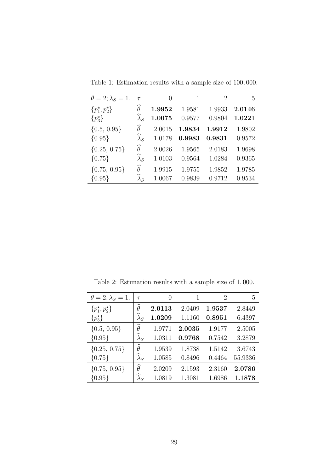| $\theta = 2; \lambda_S = 1.$    | $\tau$                | $\left( \right)$ | 1      | 2      | 5      |
|---------------------------------|-----------------------|------------------|--------|--------|--------|
| $\{p_1^{\star}, p_2^{\star}\}\$ | $\widehat{\theta}$    | 1.9952           | 1.9581 | 1.9933 | 2.0146 |
| $\{p_3^{\star}\}\$              | $\widehat{\lambda}_S$ | 1.0075           | 0.9577 | 0.9804 | 1.0221 |
| $\{0.5, 0.95\}$                 | $\widehat{\theta}$    | 2.0015           | 1.9834 | 1.9912 | 1.9802 |
| ${0.95}$                        | $\widehat{\lambda}_S$ | 1.0178           | 0.9983 | 0.9831 | 0.9572 |
| $\{0.25, 0.75\}$                | $\widehat{\theta}$    | 2.0026           | 1.9565 | 2.0183 | 1.9698 |
| ${0.75}$                        | $\widehat{\lambda}_S$ | 1.0103           | 0.9564 | 1.0284 | 0.9365 |
| $\{0.75, 0.95\}$                | $\widehat{\theta}$    | 1.9915           | 1.9755 | 1.9852 | 1.9785 |
| ${0.95}$                        | $\lambda_S$           | 1.0067           | 0.9839 | 0.9712 | 0.9534 |

Table 1: Estimation results with a sample size of 100, 000.

Table 2: Estimation results with a sample size of 1, 000.

| $\theta = 2; \lambda_S = 1.$    | $\tau$                | $\left( \right)$ | 1      | 2      | 5       |
|---------------------------------|-----------------------|------------------|--------|--------|---------|
| $\{p_1^{\star}, p_2^{\star}\}\$ | $\widehat{\theta}$    | 2.0113           | 2.0409 | 1.9537 | 2.8449  |
| $\{p_3^{\star}\}\$              | $\lambda_S$           | 1.0209           | 1.1160 | 0.8951 | 6.4397  |
| $\{0.5, 0.95\}$                 | $\widehat{\theta}$    | 1.9771           | 2.0035 | 1.9177 | 2.5005  |
| ${0.95}$                        | $\widehat{\lambda}_S$ | 1.0311           | 0.9768 | 0.7542 | 3.2879  |
| $\{0.25, 0.75\}$                | $\widehat{\theta}$    | 1.9539           | 1.8738 | 1.5142 | 3.6743  |
| ${0.75}$                        | $\widehat{\lambda}_S$ | 1.0585           | 0.8496 | 0.4464 | 55.9336 |
| $\{0.75, 0.95\}$                | $\widehat{\theta}$    | 2.0209           | 2.1593 | 2.3160 | 2.0786  |
| ${0.95}$                        | $\lambda_S$           | 1.0819           | 1.3081 | 1.6986 | 1.1878  |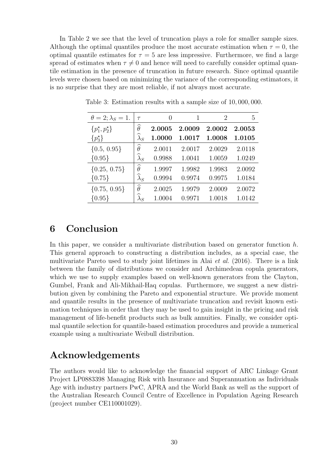In Table 2 we see that the level of truncation plays a role for smaller sample sizes. Although the optimal quantiles produce the most accurate estimation when  $\tau = 0$ , the optimal quantile estimates for  $\tau = 5$  are less impressive. Furthermore, we find a large spread of estimates when  $\tau \neq 0$  and hence will need to carefully consider optimal quantile estimation in the presence of truncation in future research. Since optimal quantile levels were chosen based on minimizing the variance of the corresponding estimators, it is no surprise that they are most reliable, if not always most accurate.

| $\theta = 2; \lambda_S = 1.$    | $\tau$                | 0      | 1      | $\overline{2}$ | 5      |
|---------------------------------|-----------------------|--------|--------|----------------|--------|
| $\{p_1^{\star}, p_2^{\star}\}\$ | $\widehat{\theta}$    | 2.0005 | 2.0009 | 2.0002         | 2.0053 |
| $\{p_3^{\star}\}\$              | $\widehat{\lambda}_S$ | 1.0000 | 1.0017 | 1.0008         | 1.0105 |
| $\{0.5, 0.95\}$                 | $\widehat{\theta}$    | 2.0011 | 2.0017 | 2.0029         | 2.0118 |
| ${0.95}$                        | $\lambda_S$           | 0.9988 | 1.0041 | 1.0059         | 1.0249 |
| $\{0.25, 0.75\}$                | $\widehat{\theta}$    | 1.9997 | 1.9982 | 1.9983         | 2.0092 |
| ${0.75}$                        | $\widehat{\lambda}_S$ | 0.9994 | 0.9974 | 0.9975         | 1.0184 |
| $\{0.75, 0.95\}$                | $\widehat{\theta}$    | 2.0025 | 1.9979 | 2.0009         | 2.0072 |
| ${0.95}$                        | $\lambda_S$           | 1.0004 | 0.9971 | 1.0018         | 1.0142 |

Table 3: Estimation results with a sample size of 10, 000, 000.

## 6 Conclusion

In this paper, we consider a multivariate distribution based on generator function  $h$ . This general approach to constructing a distribution includes, as a special case, the multivariate Pareto used to study joint lifetimes in Alai et al. (2016). There is a link between the family of distributions we consider and Archimedean copula generators, which we use to supply examples based on well-known generators from the Clayton, Gumbel, Frank and Ali-Mikhail-Haq copulas. Furthermore, we suggest a new distribution given by combining the Pareto and exponential structure. We provide moment and quantile results in the presence of multivariate truncation and revisit known estimation techniques in order that they may be used to gain insight in the pricing and risk management of life-benefit products such as bulk annuities. Finally, we consider optimal quantile selection for quantile-based estimation procedures and provide a numerical example using a multivariate Weibull distribution.

## Acknowledgements

The authors would like to acknowledge the financial support of ARC Linkage Grant Project LP0883398 Managing Risk with Insurance and Superannuation as Individuals Age with industry partners PwC, APRA and the World Bank as well as the support of the Australian Research Council Centre of Excellence in Population Ageing Research (project number CE110001029).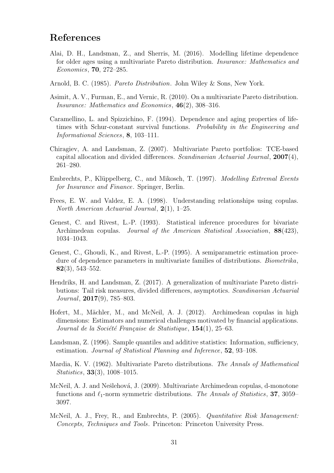## References

- Alai, D. H., Landsman, Z., and Sherris, M. (2016). Modelling lifetime dependence for older ages using a multivariate Pareto distribution. Insurance: Mathematics and Economics, 70, 272–285.
- Arnold, B. C. (1985). Pareto Distribution. John Wiley & Sons, New York.
- Asimit, A. V., Furman, E., and Vernic, R. (2010). On a multivariate Pareto distribution. Insurance: Mathematics and Economics, 46(2), 308–316.
- Caramellino, L. and Spizzichino, F. (1994). Dependence and aging properties of lifetimes with Schur-constant survival functions. Probability in the Engineering and Informational Sciences, 8, 103–111.
- Chiragiev, A. and Landsman, Z. (2007). Multivariate Pareto portfolios: TCE-based capital allocation and divided differences. Scandinavian Actuarial Journal, 2007(4), 261–280.
- Embrechts, P., Klüppelberg, C., and Mikosch, T. (1997). *Modelling Extremal Events* for Insurance and Finance. Springer, Berlin.
- Frees, E. W. and Valdez, E. A. (1998). Understanding relationships using copulas. North American Actuarial Journal,  $2(1)$ , 1–25.
- Genest, C. and Rivest, L.-P. (1993). Statistical inference procedures for bivariate Archimedean copulas. Journal of the American Statistical Association, 88(423), 1034–1043.
- Genest, C., Ghoudi, K., and Rivest, L.-P. (1995). A semiparametric estimation procedure of dependence parameters in multivariate families of distributions. Biometrika, 82(3), 543–552.
- Hendriks, H. and Landsman, Z. (2017). A generalization of multivariate Pareto distributions: Tail risk measures, divided differences, asymptotics. Scandinavian Actuarial Journal, 2017(9), 785–803.
- Hofert, M., Mächler, M., and McNeil, A. J. (2012). Archimedean copulas in high dimensions: Estimators and numerical challenges motivated by financial applications. Journal de la Société Française de Statistique,  $154(1)$ , 25–63.
- Landsman, Z. (1996). Sample quantiles and additive statistics: Information, sufficiency, estimation. Journal of Statistical Planning and Inference, 52, 93–108.
- Mardia, K. V. (1962). Multivariate Pareto distributions. The Annals of Mathematical Statistics, 33(3), 1008–1015.
- McNeil, A. J. and Nešlehová, J. (2009). Multivariate Archimedean copulas, d-monotone functions and  $\ell_1$ -norm symmetric distributions. The Annals of Statistics, 37, 3059– 3097.
- McNeil, A. J., Frey, R., and Embrechts, P. (2005). Quantitative Risk Management: Concepts, Techniques and Tools. Princeton: Princeton University Press.